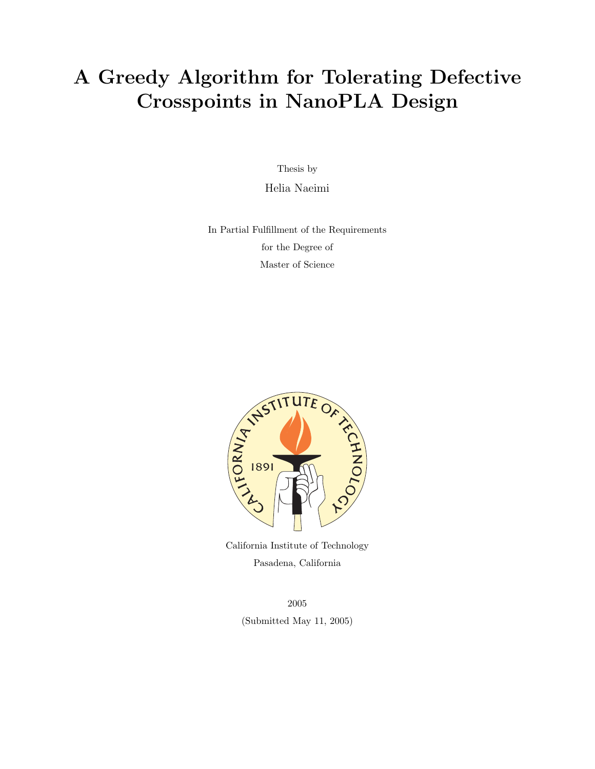### A Greedy Algorithm for Tolerating Defective Crosspoints in NanoPLA Design

Thesis by

Helia Naeimi

In Partial Fulfillment of the Requirements for the Degree of Master of Science



California Institute of Technology Pasadena, California

2005 (Submitted May 11, 2005)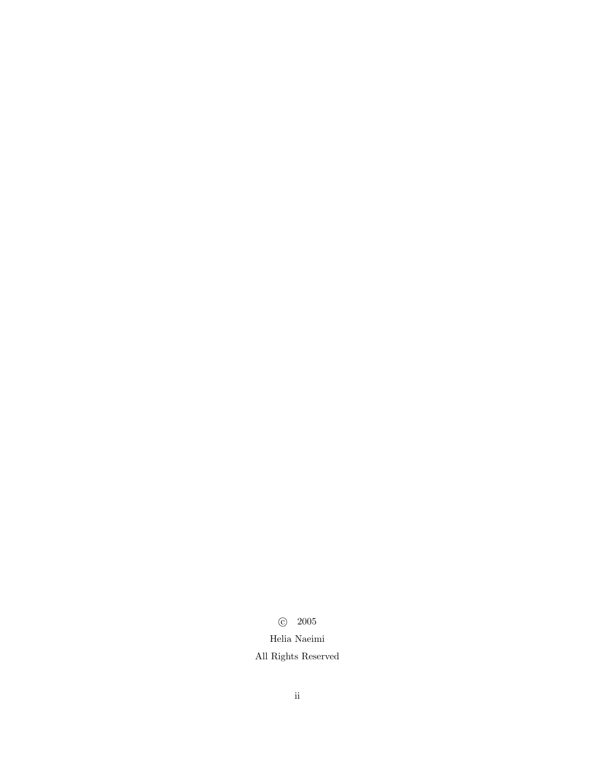c 2005 Helia Naeimi All Rights Reserved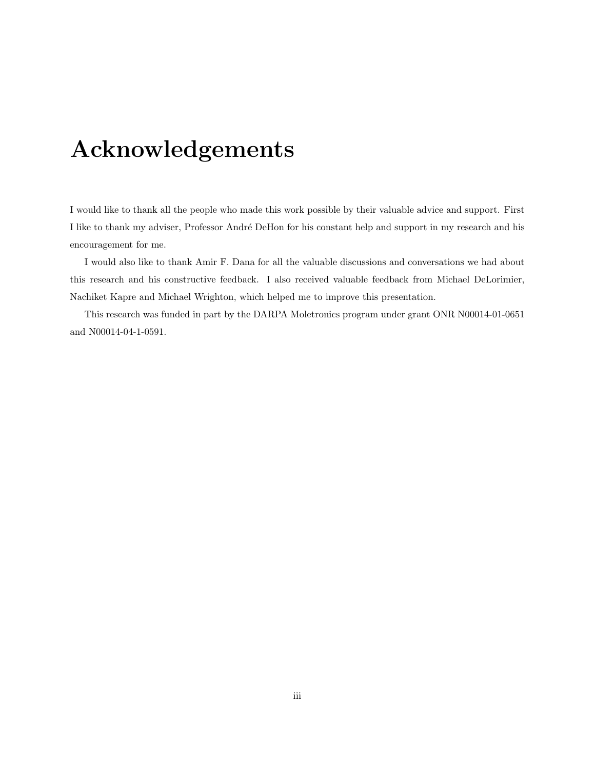## Acknowledgements

<span id="page-2-0"></span>I would like to thank all the people who made this work possible by their valuable advice and support. First I like to thank my adviser, Professor André DeHon for his constant help and support in my research and his encouragement for me.

I would also like to thank Amir F. Dana for all the valuable discussions and conversations we had about this research and his constructive feedback. I also received valuable feedback from Michael DeLorimier, Nachiket Kapre and Michael Wrighton, which helped me to improve this presentation.

This research was funded in part by the DARPA Moletronics program under grant ONR N00014-01-0651 and N00014-04-1-0591.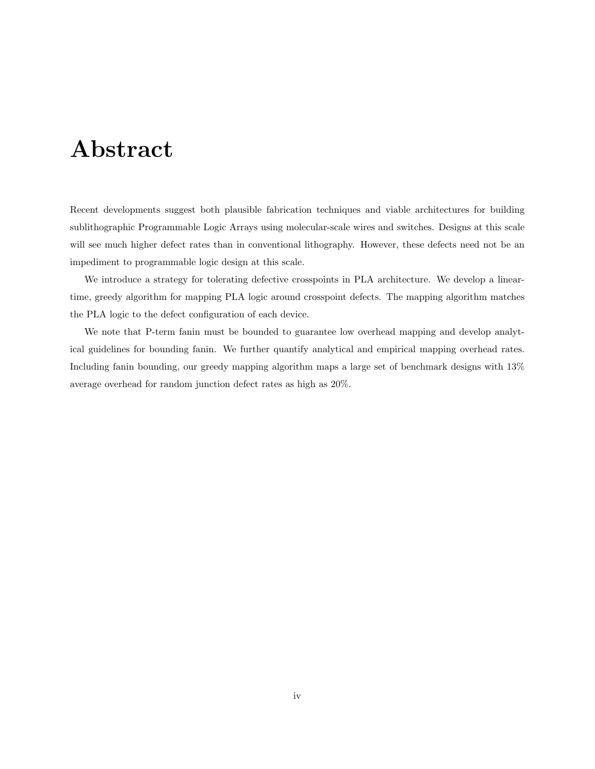### Abstract

<span id="page-3-0"></span>Recent developments suggest both plausible fabrication techniques and viable architectures for building sublithographic Programmable Logic Arrays using molecular-scale wires and switches. Designs at this scale will see much higher defect rates than in conventional lithography. However, these defects need not be an impediment to programmable logic design at this scale.

We introduce a strategy for tolerating defective crosspoints in PLA architecture. We develop a lineartime, greedy algorithm for mapping PLA logic around crosspoint defects. The mapping algorithm matches the PLA logic to the defect configuration of each device.

We note that P-term fanin must be bounded to guarantee low overhead mapping and develop analytical guidelines for bounding fanin. We further quantify analytical and empirical mapping overhead rates. Including fanin bounding, our greedy mapping algorithm maps a large set of benchmark designs with 13% average overhead for random junction defect rates as high as 20%.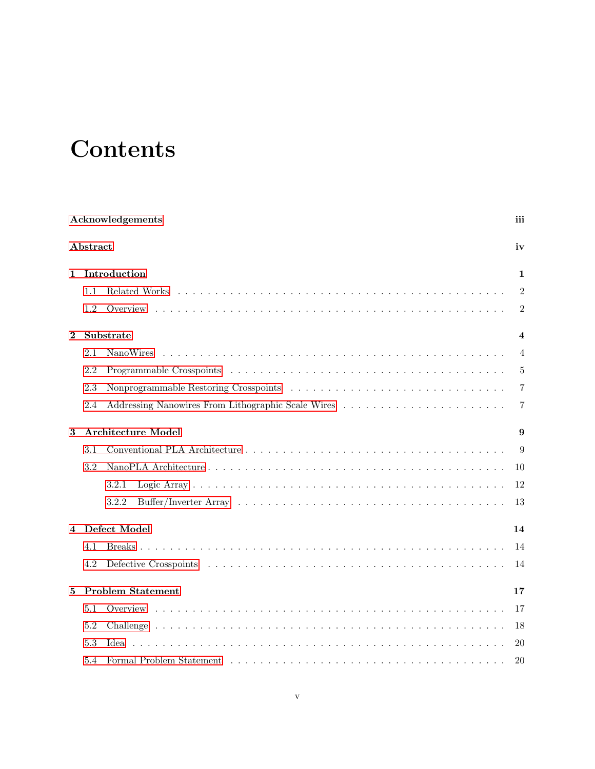# Contents

|                         |          | Acknowledgements                                                                                                                                                                                                               | iii<br>iv<br>1<br>$\overline{2}$<br>2<br>$\overline{\mathbf{4}}$<br>$\overline{4}$<br>5<br>7<br>7<br>9<br>9 |
|-------------------------|----------|--------------------------------------------------------------------------------------------------------------------------------------------------------------------------------------------------------------------------------|-------------------------------------------------------------------------------------------------------------|
|                         | Abstract | 10<br>12<br>13<br>14<br>14<br>14<br>17<br>17                                                                                                                                                                                   |                                                                                                             |
| 1                       |          | Introduction                                                                                                                                                                                                                   |                                                                                                             |
|                         | 1.1      |                                                                                                                                                                                                                                |                                                                                                             |
|                         | 1.2      |                                                                                                                                                                                                                                |                                                                                                             |
| $\bf{2}$                |          | Substrate                                                                                                                                                                                                                      |                                                                                                             |
|                         | 2.1      | NanoWires                                                                                                                                                                                                                      |                                                                                                             |
|                         | 2.2      |                                                                                                                                                                                                                                |                                                                                                             |
|                         | 2.3      |                                                                                                                                                                                                                                |                                                                                                             |
|                         | 2.4      | Addressing Nanowires From Lithographic Scale Wires                                                                                                                                                                             |                                                                                                             |
| 3                       |          | <b>Architecture Model</b>                                                                                                                                                                                                      |                                                                                                             |
|                         | 3.1      |                                                                                                                                                                                                                                |                                                                                                             |
|                         | 3.2      |                                                                                                                                                                                                                                |                                                                                                             |
|                         |          | 3.2.1                                                                                                                                                                                                                          |                                                                                                             |
|                         |          | 3.2.2                                                                                                                                                                                                                          |                                                                                                             |
| $\overline{\mathbf{4}}$ |          | Defect Model                                                                                                                                                                                                                   |                                                                                                             |
|                         | 4.1      |                                                                                                                                                                                                                                |                                                                                                             |
|                         | 4.2      |                                                                                                                                                                                                                                |                                                                                                             |
| 5                       |          | <b>Problem Statement</b>                                                                                                                                                                                                       |                                                                                                             |
|                         | 5.1      |                                                                                                                                                                                                                                |                                                                                                             |
|                         | 5.2      |                                                                                                                                                                                                                                | 18                                                                                                          |
|                         | 5.3      | Idea.                                                                                                                                                                                                                          | 20                                                                                                          |
|                         | 5.4      | Formal Problem Statement (a) and a series of the series of the series of the series of the series of the series of the series of the series of the series of the series of the series of the series of the series of the serie | 20                                                                                                          |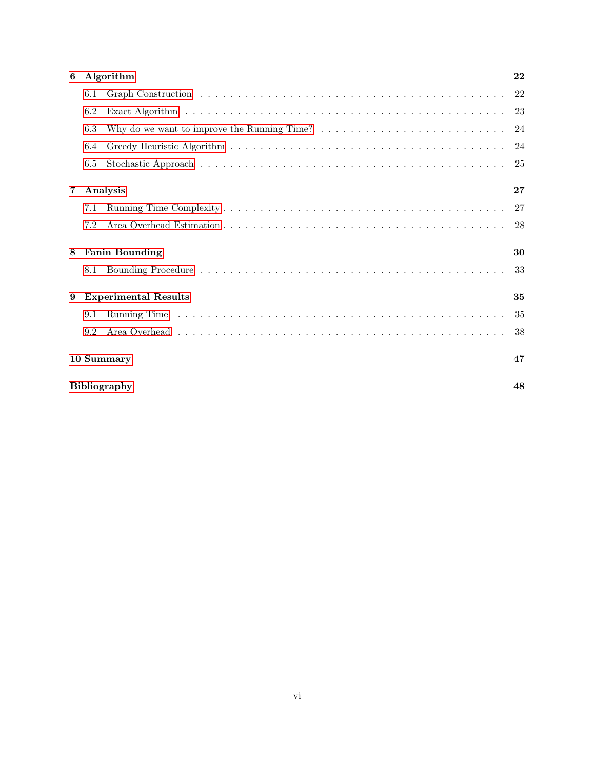| 6              |     | Algorithm                                                                                                                | 22 |
|----------------|-----|--------------------------------------------------------------------------------------------------------------------------|----|
|                | 6.1 |                                                                                                                          |    |
|                | 6.2 |                                                                                                                          |    |
|                | 6.3 | Why do we want to improve the Running Time? $\dots \dots \dots \dots \dots \dots \dots \dots \dots \dots \dots \dots$ 24 |    |
|                | 6.4 |                                                                                                                          |    |
|                | 6.5 |                                                                                                                          |    |
| $\overline{7}$ |     | Analysis                                                                                                                 | 27 |
|                | 7.1 |                                                                                                                          |    |
|                | 7.2 |                                                                                                                          |    |
| 8              |     | <b>Fanin Bounding</b>                                                                                                    | 30 |
|                | 8.1 |                                                                                                                          |    |
| 9              |     | <b>Experimental Results</b>                                                                                              | 35 |
|                | 9.1 |                                                                                                                          | 35 |
|                | 9.2 |                                                                                                                          |    |
|                |     | 10 Summary                                                                                                               | 47 |
|                |     | <b>Bibliography</b>                                                                                                      | 48 |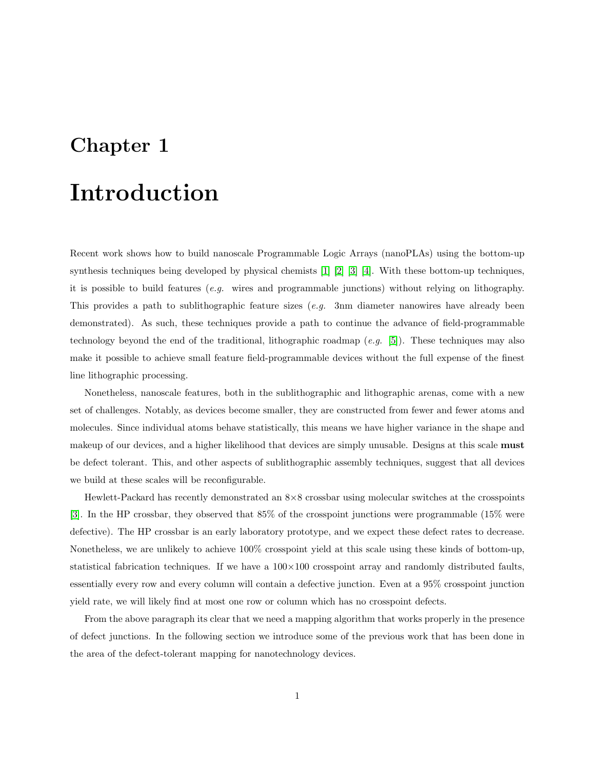### <span id="page-6-0"></span>Introduction

Recent work shows how to build nanoscale Programmable Logic Arrays (nanoPLAs) using the bottom-up synthesis techniques being developed by physical chemists [\[1\]](#page-53-1) [\[2\]](#page-53-2) [\[3\]](#page-53-3) [\[4\]](#page-53-4). With these bottom-up techniques, it is possible to build features (*e.g.* wires and programmable junctions) without relying on lithography. This provides a path to sublithographic feature sizes  $(e.g. 3nm$  diameter nanowires have already been demonstrated). As such, these techniques provide a path to continue the advance of field-programmable technology beyond the end of the traditional, lithographic roadmap  $(e.g. \quad [5])$  $(e.g. \quad [5])$  $(e.g. \quad [5])$ . These techniques may also make it possible to achieve small feature field-programmable devices without the full expense of the finest line lithographic processing.

Nonetheless, nanoscale features, both in the sublithographic and lithographic arenas, come with a new set of challenges. Notably, as devices become smaller, they are constructed from fewer and fewer atoms and molecules. Since individual atoms behave statistically, this means we have higher variance in the shape and makeup of our devices, and a higher likelihood that devices are simply unusable. Designs at this scale **must** be defect tolerant. This, and other aspects of sublithographic assembly techniques, suggest that all devices we build at these scales will be reconfigurable.

Hewlett-Packard has recently demonstrated an 8×8 crossbar using molecular switches at the crosspoints [\[3\]](#page-53-3). In the HP crossbar, they observed that 85% of the crosspoint junctions were programmable (15% were defective). The HP crossbar is an early laboratory prototype, and we expect these defect rates to decrease. Nonetheless, we are unlikely to achieve 100% crosspoint yield at this scale using these kinds of bottom-up, statistical fabrication techniques. If we have a  $100\times100$  crosspoint array and randomly distributed faults, essentially every row and every column will contain a defective junction. Even at a 95% crosspoint junction yield rate, we will likely find at most one row or column which has no crosspoint defects.

From the above paragraph its clear that we need a mapping algorithm that works properly in the presence of defect junctions. In the following section we introduce some of the previous work that has been done in the area of the defect-tolerant mapping for nanotechnology devices.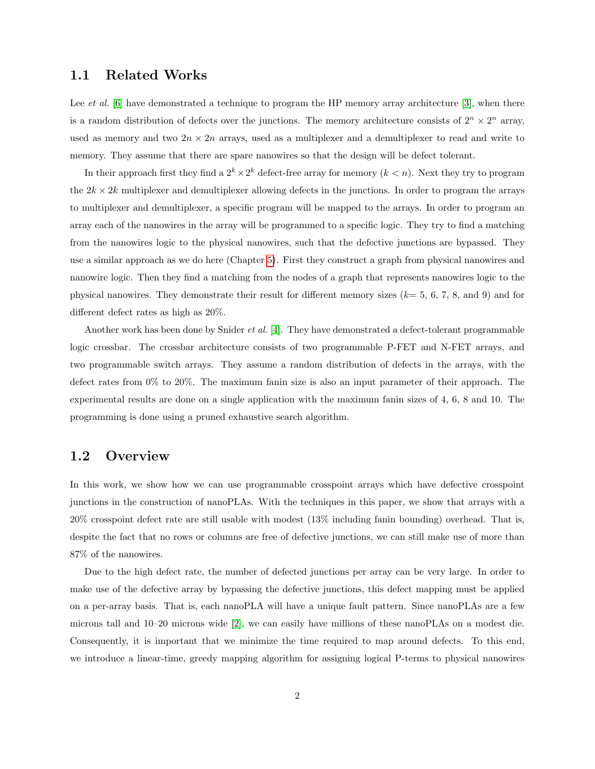#### <span id="page-7-0"></span>1.1 Related Works

Lee *et al.* [\[6\]](#page-53-6) have demonstrated a technique to program the HP memory array architecture [\[3\]](#page-53-3), when there is a random distribution of defects over the junctions. The memory architecture consists of  $2^n \times 2^n$  array, used as memory and two  $2n \times 2n$  arrays, used as a multiplexer and a demultiplexer to read and write to memory. They assume that there are spare nanowires so that the design will be defect tolerant.

In their approach first they find a  $2^k \times 2^k$  defect-free array for memory  $(k < n)$ . Next they try to program the  $2k \times 2k$  multiplexer and demultiplexer allowing defects in the junctions. In order to program the arrays to multiplexer and demultiplexer, a specific program will be mapped to the arrays. In order to program an array each of the nanowires in the array will be programmed to a specific logic. They try to find a matching from the nanowires logic to the physical nanowires, such that the defective junctions are bypassed. They use a similar approach as we do here (Chapter [5\)](#page-22-0). First they construct a graph from physical nanowires and nanowire logic. Then they find a matching from the nodes of a graph that represents nanowires logic to the physical nanowires. They demonstrate their result for different memory sizes  $(k= 5, 6, 7, 8, \text{ and } 9)$  and for different defect rates as high as 20%.

Another work has been done by Snider et al. [\[4\]](#page-53-4). They have demonstrated a defect-tolerant programmable logic crossbar. The crossbar architecture consists of two programmable P-FET and N-FET arrays, and two programmable switch arrays. They assume a random distribution of defects in the arrays, with the defect rates from 0% to 20%. The maximum fanin size is also an input parameter of their approach. The experimental results are done on a single application with the maximum fanin sizes of 4, 6, 8 and 10. The programming is done using a pruned exhaustive search algorithm.

#### <span id="page-7-1"></span>1.2 Overview

In this work, we show how we can use programmable crosspoint arrays which have defective crosspoint junctions in the construction of nanoPLAs. With the techniques in this paper, we show that arrays with a 20% crosspoint defect rate are still usable with modest (13% including fanin bounding) overhead. That is, despite the fact that no rows or columns are free of defective junctions, we can still make use of more than 87% of the nanowires.

Due to the high defect rate, the number of defected junctions per array can be very large. In order to make use of the defective array by bypassing the defective junctions, this defect mapping must be applied on a per-array basis. That is, each nanoPLA will have a unique fault pattern. Since nanoPLAs are a few microns tall and 10–20 microns wide [\[2\]](#page-53-2), we can easily have millions of these nanoPLAs on a modest die. Consequently, it is important that we minimize the time required to map around defects. To this end, we introduce a linear-time, greedy mapping algorithm for assigning logical P-terms to physical nanowires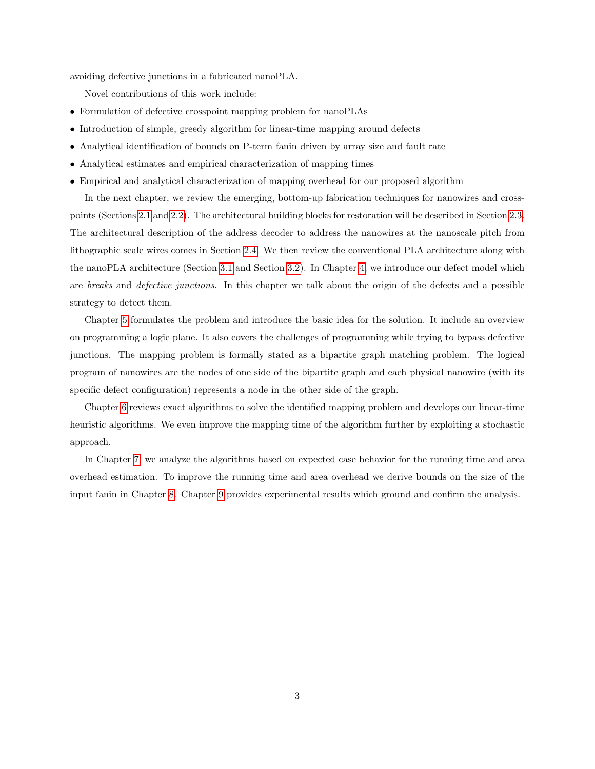avoiding defective junctions in a fabricated nanoPLA.

Novel contributions of this work include:

- Formulation of defective crosspoint mapping problem for nanoPLAs
- Introduction of simple, greedy algorithm for linear-time mapping around defects
- Analytical identification of bounds on P-term fanin driven by array size and fault rate
- Analytical estimates and empirical characterization of mapping times
- Empirical and analytical characterization of mapping overhead for our proposed algorithm

In the next chapter, we review the emerging, bottom-up fabrication techniques for nanowires and crosspoints (Sections [2.1](#page-9-1) and [2.2\)](#page-10-0). The architectural building blocks for restoration will be described in Section [2.3.](#page-12-0) The architectural description of the address decoder to address the nanowires at the nanoscale pitch from lithographic scale wires comes in Section [2.4.](#page-12-1) We then review the conventional PLA architecture along with the nanoPLA architecture (Section [3.1](#page-14-1) and Section [3.2\)](#page-15-0). In Chapter [4,](#page-19-0) we introduce our defect model which are breaks and defective junctions. In this chapter we talk about the origin of the defects and a possible strategy to detect them.

Chapter [5](#page-22-0) formulates the problem and introduce the basic idea for the solution. It include an overview on programming a logic plane. It also covers the challenges of programming while trying to bypass defective junctions. The mapping problem is formally stated as a bipartite graph matching problem. The logical program of nanowires are the nodes of one side of the bipartite graph and each physical nanowire (with its specific defect configuration) represents a node in the other side of the graph.

Chapter [6](#page-27-0) reviews exact algorithms to solve the identified mapping problem and develops our linear-time heuristic algorithms. We even improve the mapping time of the algorithm further by exploiting a stochastic approach.

In Chapter [7,](#page-32-0) we analyze the algorithms based on expected case behavior for the running time and area overhead estimation. To improve the running time and area overhead we derive bounds on the size of the input fanin in Chapter [8.](#page-35-0) Chapter [9](#page-40-0) provides experimental results which ground and confirm the analysis.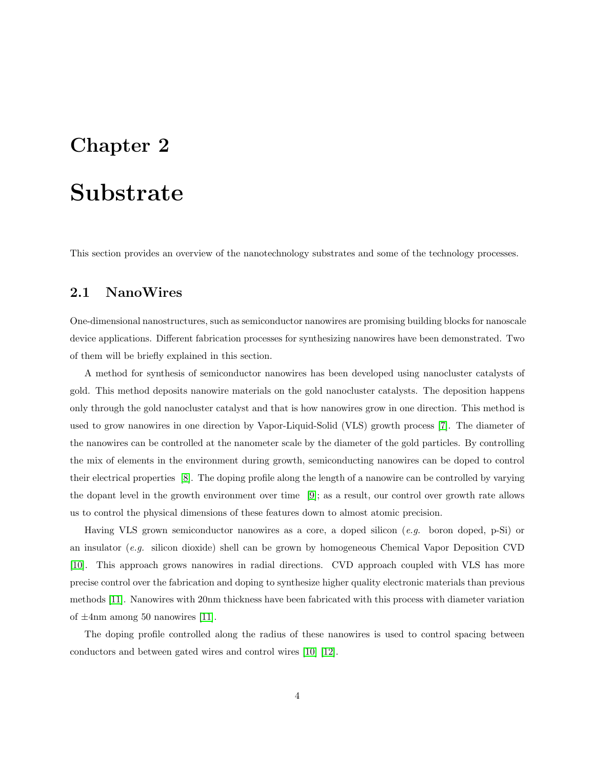### <span id="page-9-0"></span>Substrate

This section provides an overview of the nanotechnology substrates and some of the technology processes.

#### <span id="page-9-1"></span>2.1 NanoWires

One-dimensional nanostructures, such as semiconductor nanowires are promising building blocks for nanoscale device applications. Different fabrication processes for synthesizing nanowires have been demonstrated. Two of them will be briefly explained in this section.

A method for synthesis of semiconductor nanowires has been developed using nanocluster catalysts of gold. This method deposits nanowire materials on the gold nanocluster catalysts. The deposition happens only through the gold nanocluster catalyst and that is how nanowires grow in one direction. This method is used to grow nanowires in one direction by Vapor-Liquid-Solid (VLS) growth process [\[7\]](#page-53-7). The diameter of the nanowires can be controlled at the nanometer scale by the diameter of the gold particles. By controlling the mix of elements in the environment during growth, semiconducting nanowires can be doped to control their electrical properties [\[8\]](#page-53-8). The doping profile along the length of a nanowire can be controlled by varying the dopant level in the growth environment over time [\[9\]](#page-53-9); as a result, our control over growth rate allows us to control the physical dimensions of these features down to almost atomic precision.

Having VLS grown semiconductor nanowires as a core, a doped silicon (e.g. boron doped, p-Si) or an insulator (e.g. silicon dioxide) shell can be grown by homogeneous Chemical Vapor Deposition CVD [\[10\]](#page-53-10). This approach grows nanowires in radial directions. CVD approach coupled with VLS has more precise control over the fabrication and doping to synthesize higher quality electronic materials than previous methods [\[11\]](#page-54-0). Nanowires with 20nm thickness have been fabricated with this process with diameter variation of  $\pm$ 4nm among 50 nanowires [\[11\]](#page-54-0).

The doping profile controlled along the radius of these nanowires is used to control spacing between conductors and between gated wires and control wires [\[10\]](#page-53-10) [\[12\]](#page-54-1).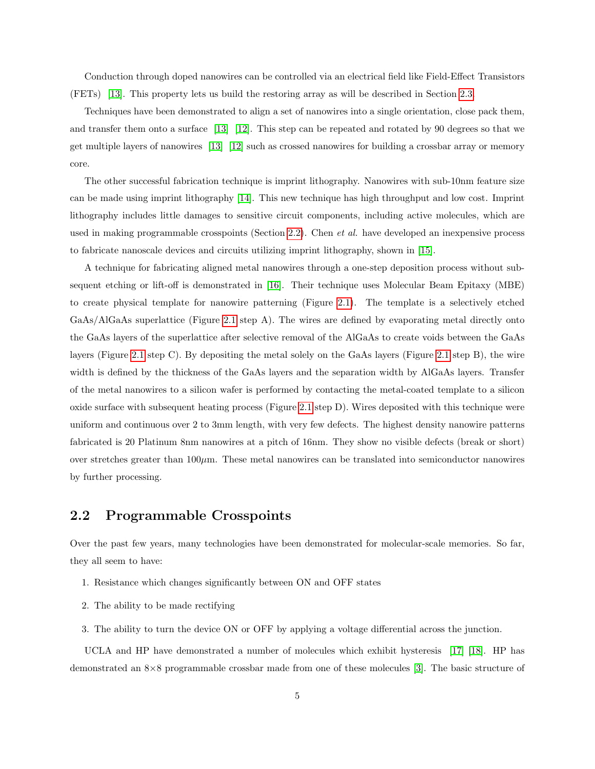Conduction through doped nanowires can be controlled via an electrical field like Field-Effect Transistors (FETs) [\[13\]](#page-54-2). This property lets us build the restoring array as will be described in Section [2.3.](#page-12-0)

Techniques have been demonstrated to align a set of nanowires into a single orientation, close pack them, and transfer them onto a surface [\[13\]](#page-54-2) [\[12\]](#page-54-1). This step can be repeated and rotated by 90 degrees so that we get multiple layers of nanowires [\[13\]](#page-54-2) [\[12\]](#page-54-1) such as crossed nanowires for building a crossbar array or memory core.

The other successful fabrication technique is imprint lithography. Nanowires with sub-10nm feature size can be made using imprint lithography [\[14\]](#page-54-3). This new technique has high throughput and low cost. Imprint lithography includes little damages to sensitive circuit components, including active molecules, which are used in making programmable crosspoints (Section [2.2\)](#page-10-0). Chen *et al.* have developed an inexpensive process to fabricate nanoscale devices and circuits utilizing imprint lithography, shown in [\[15\]](#page-54-4).

A technique for fabricating aligned metal nanowires through a one-step deposition process without subsequent etching or lift-off is demonstrated in [\[16\]](#page-54-5). Their technique uses Molecular Beam Epitaxy (MBE) to create physical template for nanowire patterning (Figure [2.1\)](#page-11-0). The template is a selectively etched GaAs/AlGaAs superlattice (Figure [2.1](#page-11-0) step A). The wires are defined by evaporating metal directly onto the GaAs layers of the superlattice after selective removal of the AlGaAs to create voids between the GaAs layers (Figure [2.1](#page-9-1) step C). By depositing the metal solely on the GaAs layers (Figure [2.1](#page-11-0) step B), the wire width is defined by the thickness of the GaAs layers and the separation width by AlGaAs layers. Transfer of the metal nanowires to a silicon wafer is performed by contacting the metal-coated template to a silicon oxide surface with subsequent heating process (Figure [2.1](#page-11-0) step D). Wires deposited with this technique were uniform and continuous over 2 to 3mm length, with very few defects. The highest density nanowire patterns fabricated is 20 Platinum 8nm nanowires at a pitch of 16nm. They show no visible defects (break or short) over stretches greater than  $100\mu$ m. These metal nanowires can be translated into semiconductor nanowires by further processing.

#### <span id="page-10-0"></span>2.2 Programmable Crosspoints

Over the past few years, many technologies have been demonstrated for molecular-scale memories. So far, they all seem to have:

- 1. Resistance which changes significantly between ON and OFF states
- 2. The ability to be made rectifying
- 3. The ability to turn the device ON or OFF by applying a voltage differential across the junction.

UCLA and HP have demonstrated a number of molecules which exhibit hysteresis [\[17\]](#page-54-6) [\[18\]](#page-54-7). HP has demonstrated an 8×8 programmable crossbar made from one of these molecules [\[3\]](#page-53-3). The basic structure of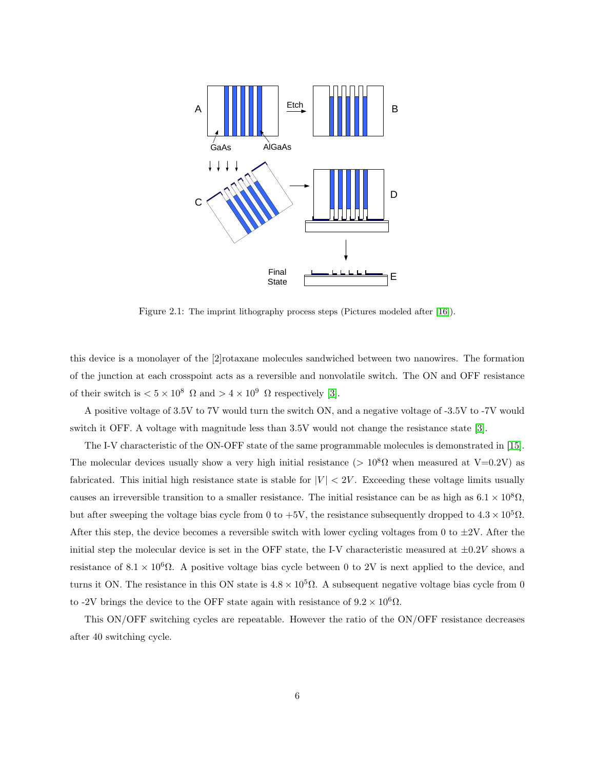

<span id="page-11-0"></span>Figure 2.1: The imprint lithography process steps (Pictures modeled after [\[16\]](#page-54-5)).

this device is a monolayer of the [2]rotaxane molecules sandwiched between two nanowires. The formation of the junction at each crosspoint acts as a reversible and nonvolatile switch. The ON and OFF resistance of their switch is  $< 5 \times 10^8$   $\Omega$  and  $> 4 \times 10^9$   $\Omega$  respectively [\[3\]](#page-53-3).

A positive voltage of 3.5V to 7V would turn the switch ON, and a negative voltage of -3.5V to -7V would switch it OFF. A voltage with magnitude less than 3.5V would not change the resistance state [\[3\]](#page-53-3).

The I-V characteristic of the ON-OFF state of the same programmable molecules is demonstrated in [\[15\]](#page-54-4). The molecular devices usually show a very high initial resistance (>  $10^8\Omega$  when measured at V=0.2V) as fabricated. This initial high resistance state is stable for  $|V| < 2V$ . Exceeding these voltage limits usually causes an irreversible transition to a smaller resistance. The initial resistance can be as high as  $6.1 \times 10^8 \Omega$ , but after sweeping the voltage bias cycle from 0 to +5V, the resistance subsequently dropped to  $4.3 \times 10^5 \Omega$ . After this step, the device becomes a reversible switch with lower cycling voltages from 0 to  $\pm 2V$ . After the initial step the molecular device is set in the OFF state, the I-V characteristic measured at  $\pm 0.2V$  shows a resistance of  $8.1 \times 10^6 \Omega$ . A positive voltage bias cycle between 0 to 2V is next applied to the device, and turns it ON. The resistance in this ON state is  $4.8 \times 10^5 \Omega$ . A subsequent negative voltage bias cycle from 0 to -2V brings the device to the OFF state again with resistance of  $9.2 \times 10^6 \Omega$ .

This ON/OFF switching cycles are repeatable. However the ratio of the ON/OFF resistance decreases after 40 switching cycle.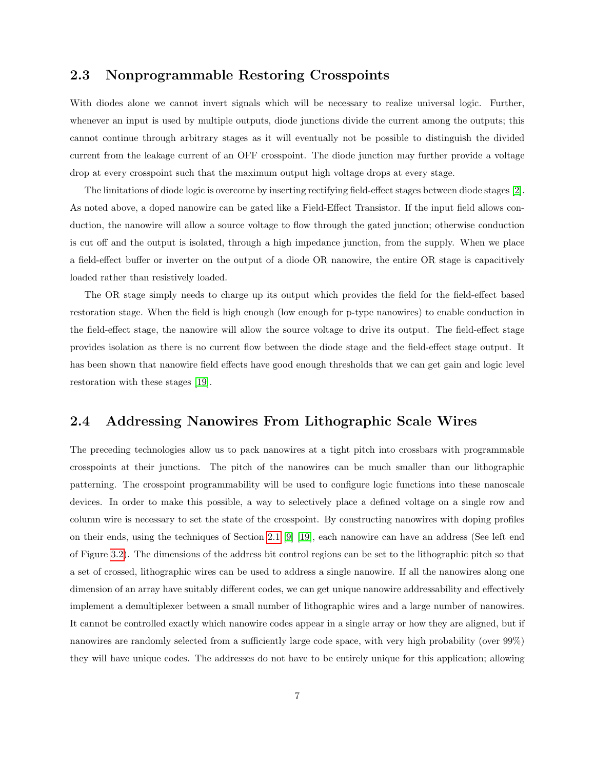#### <span id="page-12-0"></span>2.3 Nonprogrammable Restoring Crosspoints

With diodes alone we cannot invert signals which will be necessary to realize universal logic. Further, whenever an input is used by multiple outputs, diode junctions divide the current among the outputs; this cannot continue through arbitrary stages as it will eventually not be possible to distinguish the divided current from the leakage current of an OFF crosspoint. The diode junction may further provide a voltage drop at every crosspoint such that the maximum output high voltage drops at every stage.

The limitations of diode logic is overcome by inserting rectifying field-effect stages between diode stages [\[2\]](#page-53-2). As noted above, a doped nanowire can be gated like a Field-Effect Transistor. If the input field allows conduction, the nanowire will allow a source voltage to flow through the gated junction; otherwise conduction is cut off and the output is isolated, through a high impedance junction, from the supply. When we place a field-effect buffer or inverter on the output of a diode OR nanowire, the entire OR stage is capacitively loaded rather than resistively loaded.

The OR stage simply needs to charge up its output which provides the field for the field-effect based restoration stage. When the field is high enough (low enough for p-type nanowires) to enable conduction in the field-effect stage, the nanowire will allow the source voltage to drive its output. The field-effect stage provides isolation as there is no current flow between the diode stage and the field-effect stage output. It has been shown that nanowire field effects have good enough thresholds that we can get gain and logic level restoration with these stages [\[19\]](#page-54-8).

#### <span id="page-12-1"></span>2.4 Addressing Nanowires From Lithographic Scale Wires

The preceding technologies allow us to pack nanowires at a tight pitch into crossbars with programmable crosspoints at their junctions. The pitch of the nanowires can be much smaller than our lithographic patterning. The crosspoint programmability will be used to configure logic functions into these nanoscale devices. In order to make this possible, a way to selectively place a defined voltage on a single row and column wire is necessary to set the state of the crosspoint. By constructing nanowires with doping profiles on their ends, using the techniques of Section [2.1](#page-9-1) [\[9\]](#page-53-9) [\[19\]](#page-54-8), each nanowire can have an address (See left end of Figure [3.2\)](#page-16-0). The dimensions of the address bit control regions can be set to the lithographic pitch so that a set of crossed, lithographic wires can be used to address a single nanowire. If all the nanowires along one dimension of an array have suitably different codes, we can get unique nanowire addressability and effectively implement a demultiplexer between a small number of lithographic wires and a large number of nanowires. It cannot be controlled exactly which nanowire codes appear in a single array or how they are aligned, but if nanowires are randomly selected from a sufficiently large code space, with very high probability (over 99%) they will have unique codes. The addresses do not have to be entirely unique for this application; allowing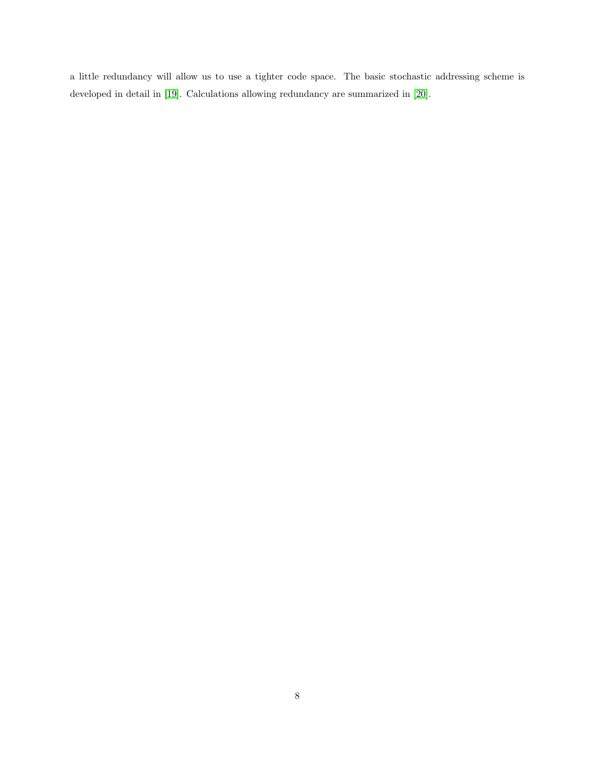a little redundancy will allow us to use a tighter code space. The basic stochastic addressing scheme is developed in detail in [\[19\]](#page-54-8). Calculations allowing redundancy are summarized in [\[20\]](#page-54-9).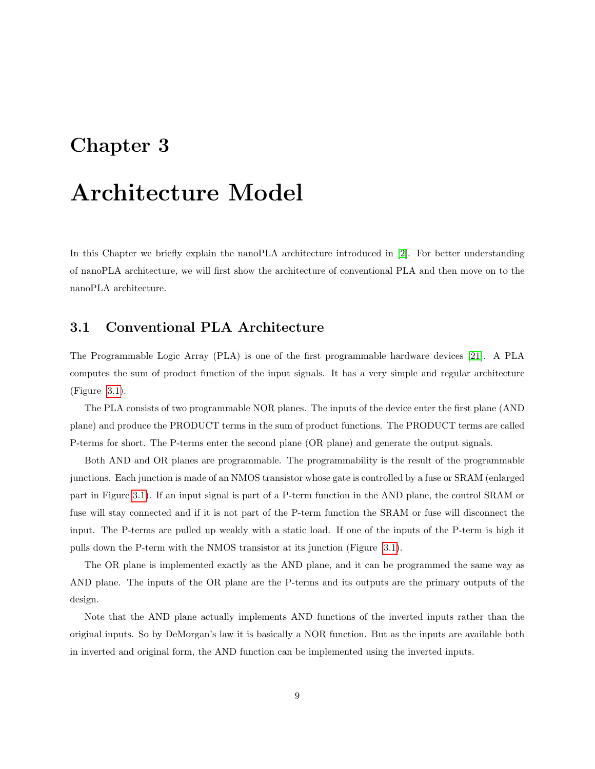## <span id="page-14-0"></span>Architecture Model

In this Chapter we briefly explain the nanoPLA architecture introduced in [\[2\]](#page-53-2). For better understanding of nanoPLA architecture, we will first show the architecture of conventional PLA and then move on to the nanoPLA architecture.

#### <span id="page-14-1"></span>3.1 Conventional PLA Architecture

The Programmable Logic Array (PLA) is one of the first programmable hardware devices [\[21\]](#page-54-10). A PLA computes the sum of product function of the input signals. It has a very simple and regular architecture (Figure [3.1\)](#page-15-1).

The PLA consists of two programmable NOR planes. The inputs of the device enter the first plane (AND plane) and produce the PRODUCT terms in the sum of product functions. The PRODUCT terms are called P-terms for short. The P-terms enter the second plane (OR plane) and generate the output signals.

Both AND and OR planes are programmable. The programmability is the result of the programmable junctions. Each junction is made of an NMOS transistor whose gate is controlled by a fuse or SRAM (enlarged part in Figure [3.1\)](#page-15-1). If an input signal is part of a P-term function in the AND plane, the control SRAM or fuse will stay connected and if it is not part of the P-term function the SRAM or fuse will disconnect the input. The P-terms are pulled up weakly with a static load. If one of the inputs of the P-term is high it pulls down the P-term with the NMOS transistor at its junction (Figure [3.1\)](#page-15-1).

The OR plane is implemented exactly as the AND plane, and it can be programmed the same way as AND plane. The inputs of the OR plane are the P-terms and its outputs are the primary outputs of the design.

Note that the AND plane actually implements AND functions of the inverted inputs rather than the original inputs. So by DeMorgan's law it is basically a NOR function. But as the inputs are available both in inverted and original form, the AND function can be implemented using the inverted inputs.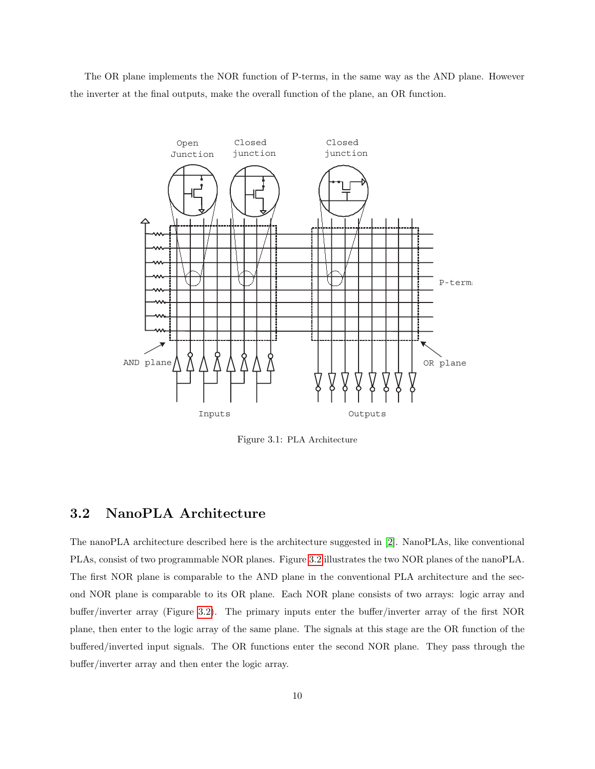The OR plane implements the NOR function of P-terms, in the same way as the AND plane. However the inverter at the final outputs, make the overall function of the plane, an OR function.



<span id="page-15-1"></span>Figure 3.1: PLA Architecture

#### <span id="page-15-0"></span>3.2 NanoPLA Architecture

The nanoPLA architecture described here is the architecture suggested in [\[2\]](#page-53-2). NanoPLAs, like conventional PLAs, consist of two programmable NOR planes. Figure [3.2](#page-16-0) illustrates the two NOR planes of the nanoPLA. The first NOR plane is comparable to the AND plane in the conventional PLA architecture and the second NOR plane is comparable to its OR plane. Each NOR plane consists of two arrays: logic array and buffer/inverter array (Figure [3.2\)](#page-16-0). The primary inputs enter the buffer/inverter array of the first NOR plane, then enter to the logic array of the same plane. The signals at this stage are the OR function of the buffered/inverted input signals. The OR functions enter the second NOR plane. They pass through the buffer/inverter array and then enter the logic array.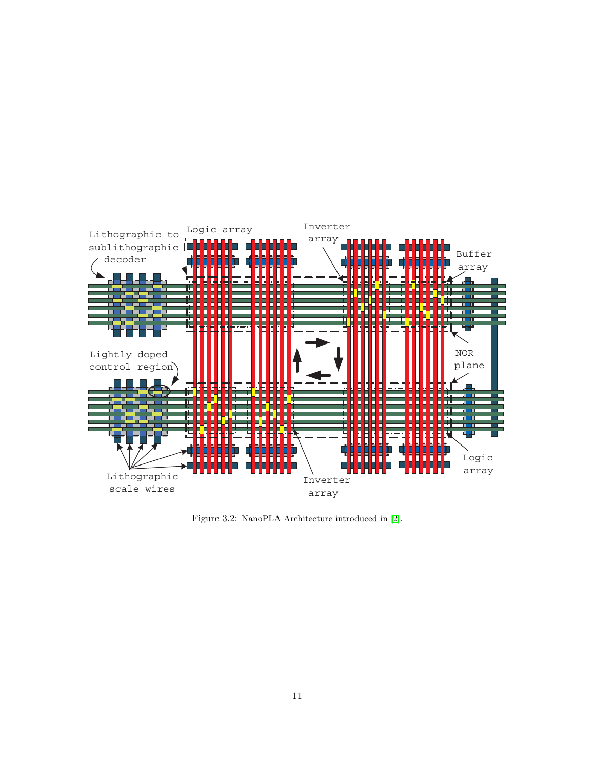

<span id="page-16-0"></span>Figure 3.2: NanoPLA Architecture introduced in [\[2\]](#page-53-2).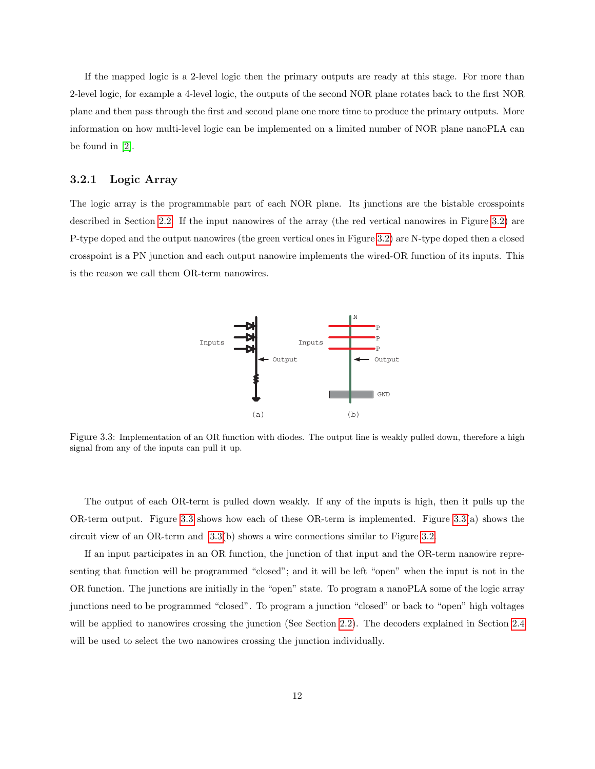If the mapped logic is a 2-level logic then the primary outputs are ready at this stage. For more than 2-level logic, for example a 4-level logic, the outputs of the second NOR plane rotates back to the first NOR plane and then pass through the first and second plane one more time to produce the primary outputs. More information on how multi-level logic can be implemented on a limited number of NOR plane nanoPLA can be found in [\[2\]](#page-53-2).

#### <span id="page-17-0"></span>3.2.1 Logic Array

The logic array is the programmable part of each NOR plane. Its junctions are the bistable crosspoints described in Section [2.2.](#page-10-0) If the input nanowires of the array (the red vertical nanowires in Figure [3.2\)](#page-16-0) are P-type doped and the output nanowires (the green vertical ones in Figure [3.2\)](#page-16-0) are N-type doped then a closed crosspoint is a PN junction and each output nanowire implements the wired-OR function of its inputs. This is the reason we call them OR-term nanowires.



<span id="page-17-1"></span>Figure 3.3: Implementation of an OR function with diodes. The output line is weakly pulled down, therefore a high signal from any of the inputs can pull it up.

The output of each OR-term is pulled down weakly. If any of the inputs is high, then it pulls up the OR-term output. Figure [3.3](#page-17-1) shows how each of these OR-term is implemented. Figure [3.3\(](#page-17-1)a) shows the circuit view of an OR-term and [3.3\(](#page-17-1)b) shows a wire connections similar to Figure [3.2.](#page-16-0)

If an input participates in an OR function, the junction of that input and the OR-term nanowire representing that function will be programmed "closed"; and it will be left "open" when the input is not in the OR function. The junctions are initially in the "open" state. To program a nanoPLA some of the logic array junctions need to be programmed "closed". To program a junction "closed" or back to "open" high voltages will be applied to nanowires crossing the junction (See Section [2.2\)](#page-10-0). The decoders explained in Section [2.4](#page-12-1) will be used to select the two nanowires crossing the junction individually.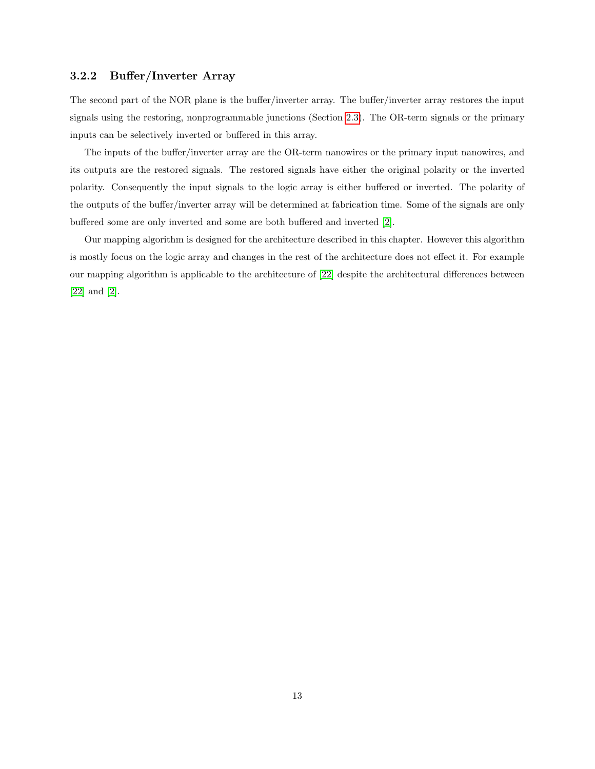#### <span id="page-18-0"></span>3.2.2 Buffer/Inverter Array

The second part of the NOR plane is the buffer/inverter array. The buffer/inverter array restores the input signals using the restoring, nonprogrammable junctions (Section [2.3\)](#page-12-0). The OR-term signals or the primary inputs can be selectively inverted or buffered in this array.

The inputs of the buffer/inverter array are the OR-term nanowires or the primary input nanowires, and its outputs are the restored signals. The restored signals have either the original polarity or the inverted polarity. Consequently the input signals to the logic array is either buffered or inverted. The polarity of the outputs of the buffer/inverter array will be determined at fabrication time. Some of the signals are only buffered some are only inverted and some are both buffered and inverted [\[2\]](#page-53-2).

Our mapping algorithm is designed for the architecture described in this chapter. However this algorithm is mostly focus on the logic array and changes in the rest of the architecture does not effect it. For example our mapping algorithm is applicable to the architecture of [\[22\]](#page-54-11) despite the architectural differences between [\[22\]](#page-54-11) and [\[2\]](#page-53-2).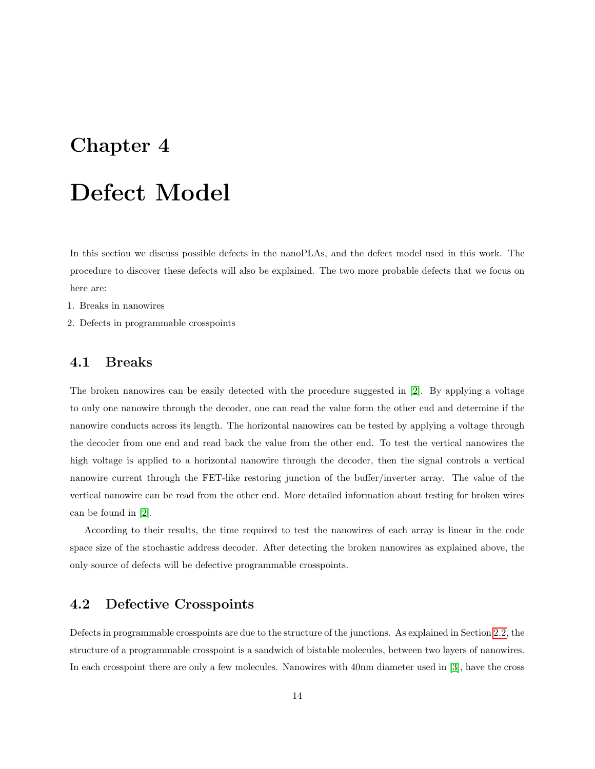# <span id="page-19-0"></span>Defect Model

In this section we discuss possible defects in the nanoPLAs, and the defect model used in this work. The procedure to discover these defects will also be explained. The two more probable defects that we focus on here are:

- 1. Breaks in nanowires
- 2. Defects in programmable crosspoints

#### <span id="page-19-1"></span>4.1 Breaks

The broken nanowires can be easily detected with the procedure suggested in [\[2\]](#page-53-2). By applying a voltage to only one nanowire through the decoder, one can read the value form the other end and determine if the nanowire conducts across its length. The horizontal nanowires can be tested by applying a voltage through the decoder from one end and read back the value from the other end. To test the vertical nanowires the high voltage is applied to a horizontal nanowire through the decoder, then the signal controls a vertical nanowire current through the FET-like restoring junction of the buffer/inverter array. The value of the vertical nanowire can be read from the other end. More detailed information about testing for broken wires can be found in [\[2\]](#page-53-2).

According to their results, the time required to test the nanowires of each array is linear in the code space size of the stochastic address decoder. After detecting the broken nanowires as explained above, the only source of defects will be defective programmable crosspoints.

#### <span id="page-19-2"></span>4.2 Defective Crosspoints

Defects in programmable crosspoints are due to the structure of the junctions. As explained in Section [2.2,](#page-10-0) the structure of a programmable crosspoint is a sandwich of bistable molecules, between two layers of nanowires. In each crosspoint there are only a few molecules. Nanowires with 40nm diameter used in [\[3\]](#page-53-3), have the cross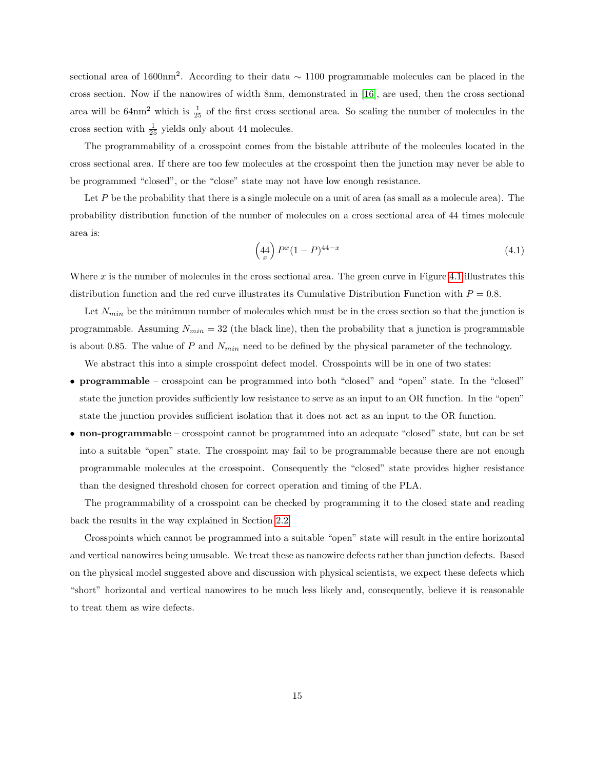sectional area of 1600nm<sup>2</sup>. According to their data  $\sim$  1100 programmable molecules can be placed in the cross section. Now if the nanowires of width 8nm, demonstrated in [\[16\]](#page-54-5), are used, then the cross sectional area will be  $64 \text{nm}^2$  which is  $\frac{1}{25}$  of the first cross sectional area. So scaling the number of molecules in the cross section with  $\frac{1}{25}$  yields only about 44 molecules.

The programmability of a crosspoint comes from the bistable attribute of the molecules located in the cross sectional area. If there are too few molecules at the crosspoint then the junction may never be able to be programmed "closed", or the "close" state may not have low enough resistance.

Let P be the probability that there is a single molecule on a unit of area (as small as a molecule area). The probability distribution function of the number of molecules on a cross sectional area of 44 times molecule area is:

$$
\left(44 \atop x\right) P^x (1 - P)^{44 - x} \tag{4.1}
$$

Where  $x$  is the number of molecules in the cross sectional area. The green curve in Figure [4.1](#page-21-0) illustrates this distribution function and the red curve illustrates its Cumulative Distribution Function with  $P = 0.8$ .

Let  $N_{min}$  be the minimum number of molecules which must be in the cross section so that the junction is programmable. Assuming  $N_{min} = 32$  (the black line), then the probability that a junction is programmable is about 0.85. The value of P and  $N_{min}$  need to be defined by the physical parameter of the technology.

We abstract this into a simple crosspoint defect model. Crosspoints will be in one of two states:

- programmable crosspoint can be programmed into both "closed" and "open" state. In the "closed" state the junction provides sufficiently low resistance to serve as an input to an OR function. In the "open" state the junction provides sufficient isolation that it does not act as an input to the OR function.
- non-programmable crosspoint cannot be programmed into an adequate "closed" state, but can be set into a suitable "open" state. The crosspoint may fail to be programmable because there are not enough programmable molecules at the crosspoint. Consequently the "closed" state provides higher resistance than the designed threshold chosen for correct operation and timing of the PLA.

The programmability of a crosspoint can be checked by programming it to the closed state and reading back the results in the way explained in Section [2.2.](#page-10-0)

Crosspoints which cannot be programmed into a suitable "open" state will result in the entire horizontal and vertical nanowires being unusable. We treat these as nanowire defects rather than junction defects. Based on the physical model suggested above and discussion with physical scientists, we expect these defects which "short" horizontal and vertical nanowires to be much less likely and, consequently, believe it is reasonable to treat them as wire defects.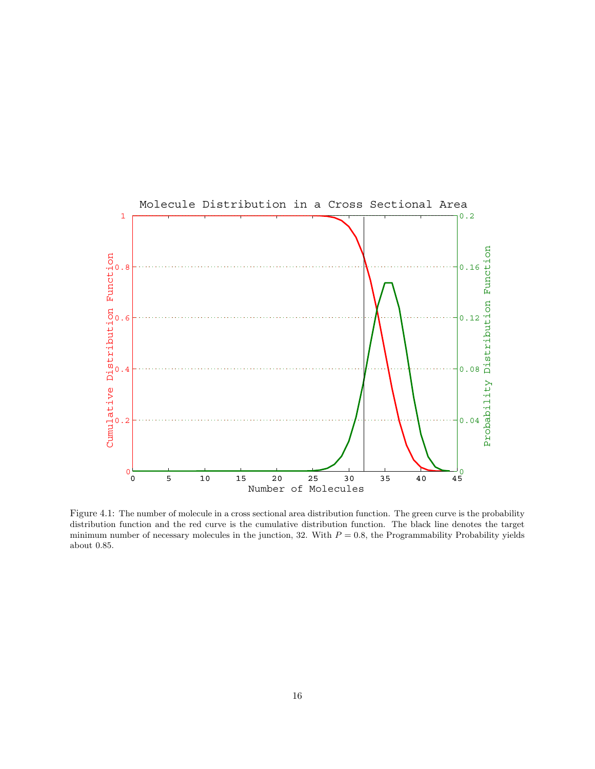

<span id="page-21-0"></span>Figure 4.1: The number of molecule in a cross sectional area distribution function. The green curve is the probability distribution function and the red curve is the cumulative distribution function. The black line denotes the target minimum number of necessary molecules in the junction, 32. With  $P = 0.8$ , the Programmability Probability yields about 0.85.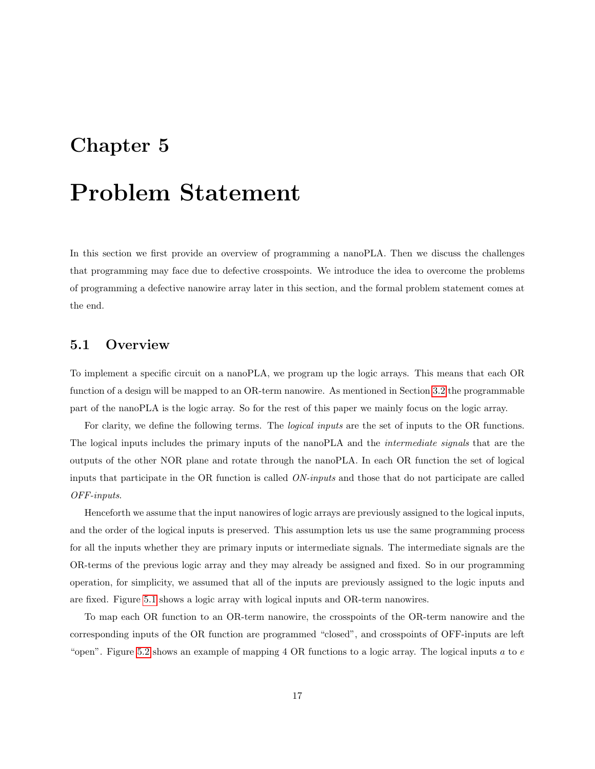### <span id="page-22-0"></span>Problem Statement

In this section we first provide an overview of programming a nanoPLA. Then we discuss the challenges that programming may face due to defective crosspoints. We introduce the idea to overcome the problems of programming a defective nanowire array later in this section, and the formal problem statement comes at the end.

#### <span id="page-22-1"></span>5.1 Overview

To implement a specific circuit on a nanoPLA, we program up the logic arrays. This means that each OR function of a design will be mapped to an OR-term nanowire. As mentioned in Section [3.2](#page-15-0) the programmable part of the nanoPLA is the logic array. So for the rest of this paper we mainly focus on the logic array.

For clarity, we define the following terms. The *logical inputs* are the set of inputs to the OR functions. The logical inputs includes the primary inputs of the nanoPLA and the intermediate signals that are the outputs of the other NOR plane and rotate through the nanoPLA. In each OR function the set of logical inputs that participate in the OR function is called ON-inputs and those that do not participate are called OFF-inputs.

Henceforth we assume that the input nanowires of logic arrays are previously assigned to the logical inputs, and the order of the logical inputs is preserved. This assumption lets us use the same programming process for all the inputs whether they are primary inputs or intermediate signals. The intermediate signals are the OR-terms of the previous logic array and they may already be assigned and fixed. So in our programming operation, for simplicity, we assumed that all of the inputs are previously assigned to the logic inputs and are fixed. Figure [5.1](#page-23-1) shows a logic array with logical inputs and OR-term nanowires.

To map each OR function to an OR-term nanowire, the crosspoints of the OR-term nanowire and the corresponding inputs of the OR function are programmed "closed", and crosspoints of OFF-inputs are left "open". Figure [5.2](#page-24-0) shows an example of mapping  $4 \text{ OR}$  functions to a logic array. The logical inputs  $a$  to  $e$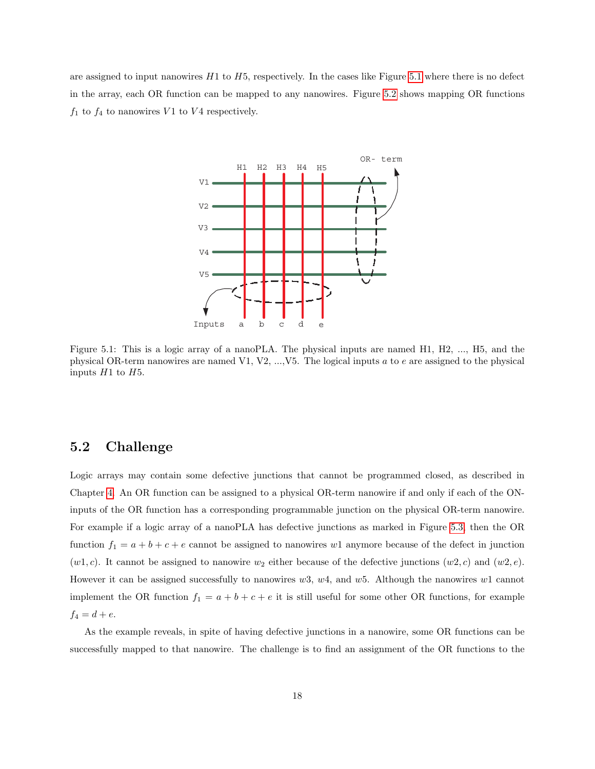are assigned to input nanowires  $H1$  to  $H5$ , respectively. In the cases like Figure [5.1](#page-23-1) where there is no defect in the array, each OR function can be mapped to any nanowires. Figure [5.2](#page-24-0) shows mapping OR functions  $f_1$  to  $f_4$  to nanowires  $V_1$  to  $V_4$  respectively.



<span id="page-23-1"></span>Figure 5.1: This is a logic array of a nanoPLA. The physical inputs are named H1, H2, ..., H5, and the physical OR-term nanowires are named V1, V2, ..., V5. The logical inputs a to e are assigned to the physical inputs  $H1$  to  $H5$ .

#### <span id="page-23-0"></span>5.2 Challenge

Logic arrays may contain some defective junctions that cannot be programmed closed, as described in Chapter [4.](#page-19-0) An OR function can be assigned to a physical OR-term nanowire if and only if each of the ONinputs of the OR function has a corresponding programmable junction on the physical OR-term nanowire. For example if a logic array of a nanoPLA has defective junctions as marked in Figure [5.3,](#page-24-1) then the OR function  $f_1 = a + b + c + e$  cannot be assigned to nanowires w1 anymore because of the defect in junction  $(w1, c)$ . It cannot be assigned to nanowire  $w_2$  either because of the defective junctions  $(w2, c)$  and  $(w2, e)$ . However it can be assigned successfully to nanowires  $w3$ ,  $w4$ , and  $w5$ . Although the nanowires  $w1$  cannot implement the OR function  $f_1 = a + b + c + e$  it is still useful for some other OR functions, for example  $f_4 = d + e.$ 

As the example reveals, in spite of having defective junctions in a nanowire, some OR functions can be successfully mapped to that nanowire. The challenge is to find an assignment of the OR functions to the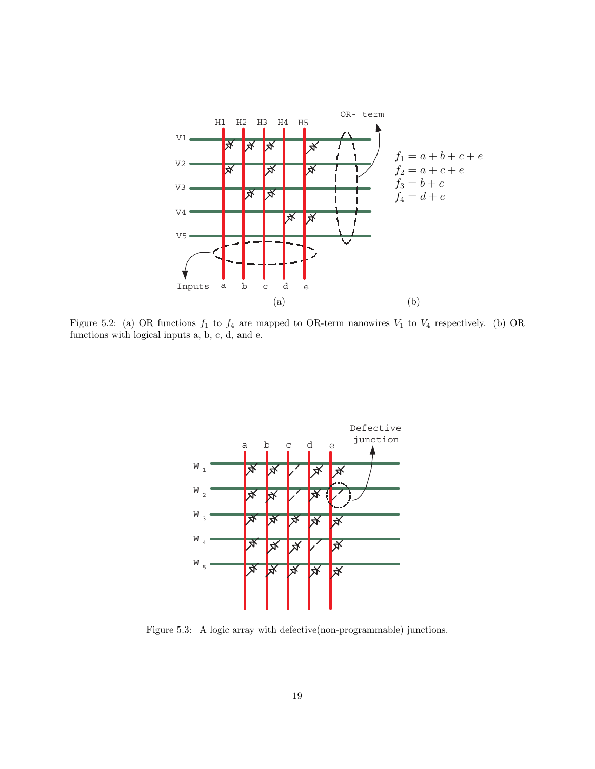

<span id="page-24-0"></span>Figure 5.2: (a) OR functions  $f_1$  to  $f_4$  are mapped to OR-term nanowires  $V_1$  to  $V_4$  respectively. (b) OR functions with logical inputs a, b, c, d, and e.



<span id="page-24-1"></span>Figure 5.3: A logic array with defective(non-programmable) junctions.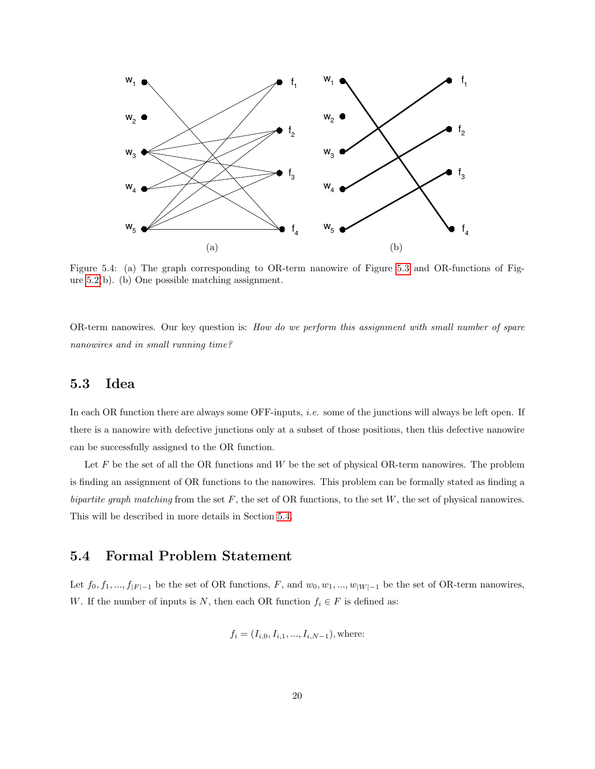

<span id="page-25-2"></span>Figure 5.4: (a) The graph corresponding to OR-term nanowire of Figure [5.3](#page-24-1) and OR-functions of Figure [5.2\(](#page-24-0)b). (b) One possible matching assignment.

OR-term nanowires. Our key question is: How do we perform this assignment with small number of spare nanowires and in small running time?

#### <span id="page-25-0"></span>5.3 Idea

In each OR function there are always some OFF-inputs, *i.e.* some of the junctions will always be left open. If there is a nanowire with defective junctions only at a subset of those positions, then this defective nanowire can be successfully assigned to the OR function.

Let  $F$  be the set of all the OR functions and  $W$  be the set of physical OR-term nanowires. The problem is finding an assignment of OR functions to the nanowires. This problem can be formally stated as finding a bipartite graph matching from the set  $F$ , the set of OR functions, to the set W, the set of physical nanowires. This will be described in more details in Section [5.4.](#page-25-1)

#### <span id="page-25-1"></span>5.4 Formal Problem Statement

Let  $f_0, f_1, ..., f_{|F|-1}$  be the set of OR functions, F, and  $w_0, w_1, ..., w_{|W|-1}$  be the set of OR-term nanowires, W. If the number of inputs is N, then each OR function  $f_i \in F$  is defined as:

$$
f_i = (I_{i,0}, I_{i,1}, \ldots, I_{i,N-1}),
$$
 where: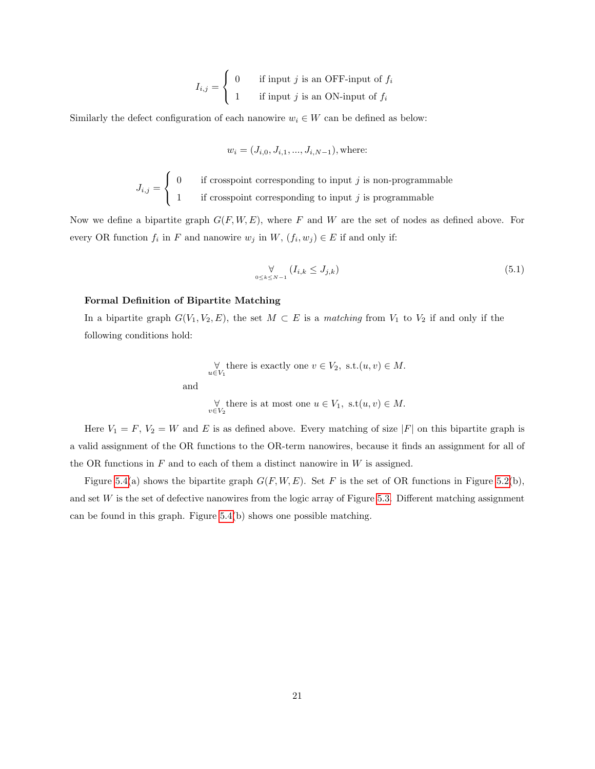$$
I_{i,j} = \begin{cases} 0 & \text{if input } j \text{ is an OFF-input of } f_i \\ 1 & \text{if input } j \text{ is an ON-input of } f_i \end{cases}
$$

Similarly the defect configuration of each nanowire  $w_i \in W$  can be defined as below:

$$
w_i = (J_{i,0}, J_{i,1}, ..., J_{i,N-1}),
$$
 where:

$$
J_{i,j} = \begin{cases} 0 & \text{if crosspoint corresponding to input } j \text{ is non-programmable} \\ 1 & \text{if crosspoint corresponding to input } j \text{ is programmable} \end{cases}
$$

Now we define a bipartite graph  $G(F, W, E)$ , where F and W are the set of nodes as defined above. For every OR function  $f_i$  in F and nanowire  $w_j$  in  $W$ ,  $(f_i, w_j) \in E$  if and only if:

<span id="page-26-0"></span>
$$
\forall \qquad \forall \qquad (I_{i,k} \leq J_{j,k}) \tag{5.1}
$$

#### Formal Definition of Bipartite Matching

In a bipartite graph  $G(V_1, V_2, E)$ , the set  $M \subset E$  is a matching from  $V_1$  to  $V_2$  if and only if the following conditions hold:

$$
\forall_{u \in V_1} \text{ there is exactly one } v \in V_2, \text{ s.t.}(u, v) \in M.
$$
  
and  

$$
\forall_{v \in V_2} \text{ there is at most one } u \in V_1, \text{ s.t}(u, v) \in M.
$$

Here  $V_1 = F$ ,  $V_2 = W$  and E is as defined above. Every matching of size |F| on this bipartite graph is a valid assignment of the OR functions to the OR-term nanowires, because it finds an assignment for all of the OR functions in  $F$  and to each of them a distinct nanowire in  $W$  is assigned.

Figure [5.4\(](#page-25-2)a) shows the bipartite graph  $G(F, W, E)$ . Set F is the set of OR functions in Figure [5.2\(](#page-24-0)b), and set W is the set of defective nanowires from the logic array of Figure [5.3.](#page-24-1) Different matching assignment can be found in this graph. Figure  $5.4(b)$  shows one possible matching.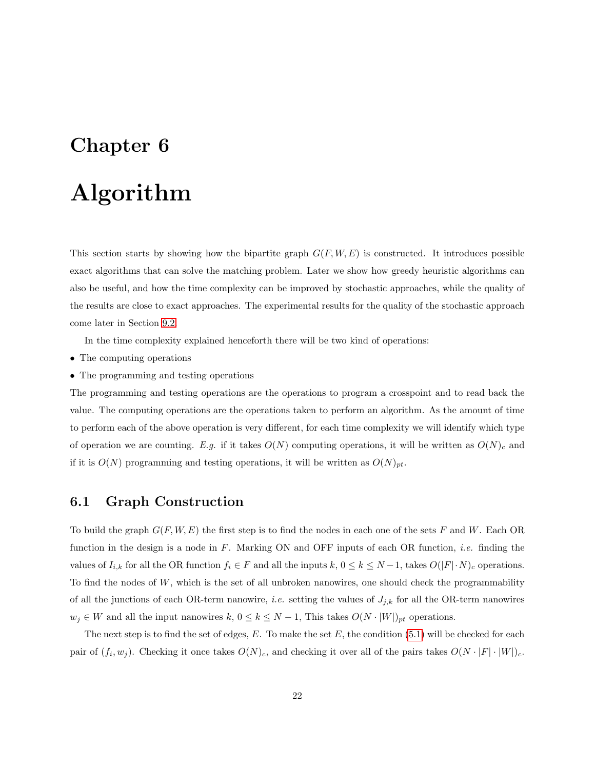# <span id="page-27-0"></span>Algorithm

This section starts by showing how the bipartite graph  $G(F, W, E)$  is constructed. It introduces possible exact algorithms that can solve the matching problem. Later we show how greedy heuristic algorithms can also be useful, and how the time complexity can be improved by stochastic approaches, while the quality of the results are close to exact approaches. The experimental results for the quality of the stochastic approach come later in Section [9.2.](#page-43-0)

In the time complexity explained henceforth there will be two kind of operations:

- The computing operations
- The programming and testing operations

The programming and testing operations are the operations to program a crosspoint and to read back the value. The computing operations are the operations taken to perform an algorithm. As the amount of time to perform each of the above operation is very different, for each time complexity we will identify which type of operation we are counting. E.g. if it takes  $O(N)$  computing operations, it will be written as  $O(N)<sub>c</sub>$  and if it is  $O(N)$  programming and testing operations, it will be written as  $O(N)_{pt}$ .

#### <span id="page-27-1"></span>6.1 Graph Construction

To build the graph  $G(F, W, E)$  the first step is to find the nodes in each one of the sets F and W. Each OR function in the design is a node in  $F$ . Marking ON and OFF inputs of each OR function, *i.e.* finding the values of  $I_{i,k}$  for all the OR function  $f_i \in F$  and all the inputs  $k, 0 \le k \le N-1$ , takes  $O(|F| \cdot N)_c$  operations. To find the nodes of  $W$ , which is the set of all unbroken nanowires, one should check the programmability of all the junctions of each OR-term nanowire, *i.e.* setting the values of  $J_{j,k}$  for all the OR-term nanowires  $w_j \in W$  and all the input nanowires  $k, 0 \le k \le N-1$ , This takes  $O(N \cdot |W|)_{pt}$  operations.

The next step is to find the set of edges,  $E$ . To make the set  $E$ , the condition [\(5.1\)](#page-26-0) will be checked for each pair of  $(f_i, w_j)$ . Checking it once takes  $O(N)_c$ , and checking it over all of the pairs takes  $O(N \cdot |F| \cdot |W|)_c$ .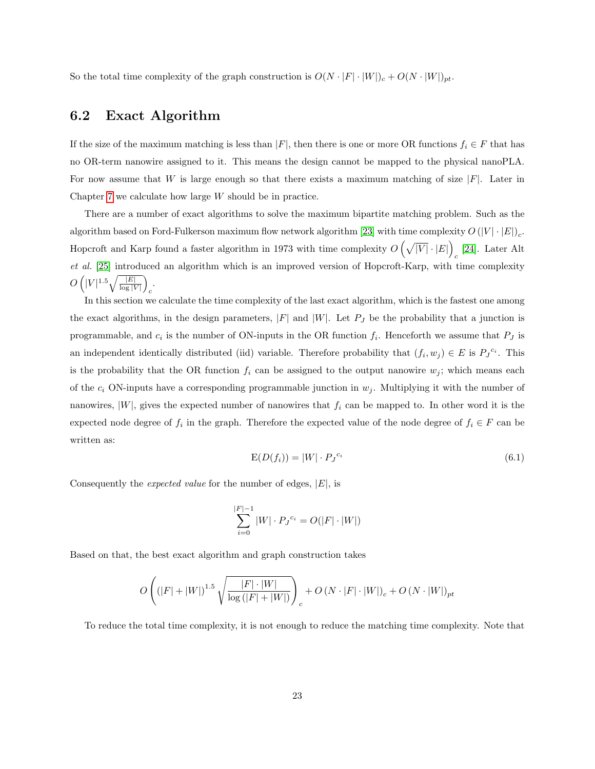So the total time complexity of the graph construction is  $O(N \cdot |F| \cdot |W|)_{c} + O(N \cdot |W|)_{pt}$ .

#### <span id="page-28-0"></span>6.2 Exact Algorithm

If the size of the maximum matching is less than  $|F|$ , then there is one or more OR functions  $f_i \in F$  that has no OR-term nanowire assigned to it. This means the design cannot be mapped to the physical nanoPLA. For now assume that W is large enough so that there exists a maximum matching of size  $|F|$ . Later in Chapter [7](#page-32-0) we calculate how large  $W$  should be in practice.

There are a number of exact algorithms to solve the maximum bipartite matching problem. Such as the algorithm based on Ford-Fulkerson maximum flow network algorithm [\[23\]](#page-54-12) with time complexity  $O(|V| \cdot |E|)_{c}$ . Hopcroft and Karp found a faster algorithm in 1973 with time complexity  $O(\sqrt{|V|} \cdot |E|)$  $_c$  [\[24\]](#page-55-0). Later Alt et al. [\[25\]](#page-55-1) introduced an algorithm which is an improved version of Hopcroft-Karp, with time complexity  $O\left(|V|^{1.5}\sqrt{\frac{|E|}{\log |V|}}\right)$ c .

In this section we calculate the time complexity of the last exact algorithm, which is the fastest one among the exact algorithms, in the design parameters,  $|F|$  and  $|W|$ . Let  $P_J$  be the probability that a junction is programmable, and  $c_i$  is the number of ON-inputs in the OR function  $f_i$ . Henceforth we assume that  $P_J$  is an independent identically distributed (iid) variable. Therefore probability that  $(f_i, w_j) \in E$  is  $P_J^{c_i}$ . This is the probability that the OR function  $f_i$  can be assigned to the output nanowire  $w_j$ ; which means each of the  $c_i$  ON-inputs have a corresponding programmable junction in  $w_j$ . Multiplying it with the number of nanowires,  $|W|$ , gives the expected number of nanowires that  $f_i$  can be mapped to. In other word it is the expected node degree of  $f_i$  in the graph. Therefore the expected value of the node degree of  $f_i \in F$  can be written as:

$$
E(D(f_i)) = |W| \cdot P_J^{c_i} \tag{6.1}
$$

<span id="page-28-1"></span>Consequently the *expected value* for the number of edges,  $|E|$ , is

$$
\sum_{i=0}^{|F|-1} |W| \cdot P_J^{c_i} = O(|F| \cdot |W|)
$$

Based on that, the best exact algorithm and graph construction takes

$$
O\left(\left(|F|+|W|\right)^{1.5}\sqrt{\frac{|F|\cdot|W|}{\log\left(|F|+|W|\right)}}\right)_c + O\left(N\cdot|F|\cdot|W|\right)_c + O\left(N\cdot|W|\right)_{pt}
$$

To reduce the total time complexity, it is not enough to reduce the matching time complexity. Note that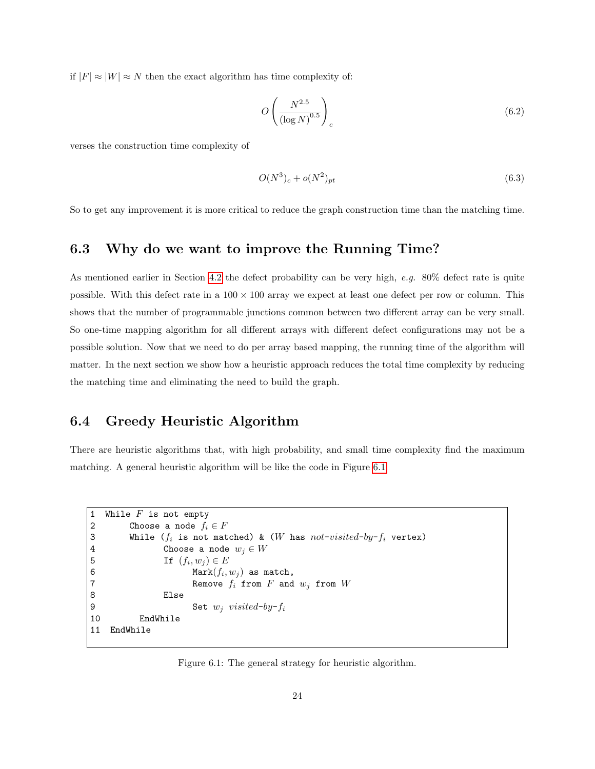if  $|F| \approx |W| \approx N$  then the exact algorithm has time complexity of:

$$
O\left(\frac{N^{2.5}}{\left(\log N\right)^{0.5}}\right)_c\tag{6.2}
$$

verses the construction time complexity of

$$
O(N^3)_c + o(N^2)_{pt} \tag{6.3}
$$

So to get any improvement it is more critical to reduce the graph construction time than the matching time.

#### <span id="page-29-0"></span>6.3 Why do we want to improve the Running Time?

As mentioned earlier in Section [4.2](#page-19-2) the defect probability can be very high,  $e.g. 80\%$  defect rate is quite possible. With this defect rate in a  $100 \times 100$  array we expect at least one defect per row or column. This shows that the number of programmable junctions common between two different array can be very small. So one-time mapping algorithm for all different arrays with different defect configurations may not be a possible solution. Now that we need to do per array based mapping, the running time of the algorithm will matter. In the next section we show how a heuristic approach reduces the total time complexity by reducing the matching time and eliminating the need to build the graph.

#### <span id="page-29-1"></span>6.4 Greedy Heuristic Algorithm

There are heuristic algorithms that, with high probability, and small time complexity find the maximum matching. A general heuristic algorithm will be like the code in Figure [6.1.](#page-29-2)

```
1 While F is not empty
2 Choose a node f_i \in F3 While (f_i is not matched) & (W has not-visited-by-f_i vertex)
4 Choose a node w_i \in W5 If (f_i, w_j) \in E6 Mark(f_i, w_j) as match,
7 Remove f_i from F and w_j from W8 Else
9 Set w_i visited-by-f_i10 EndWhile
11 EndWhile
```
<span id="page-29-2"></span>Figure 6.1: The general strategy for heuristic algorithm.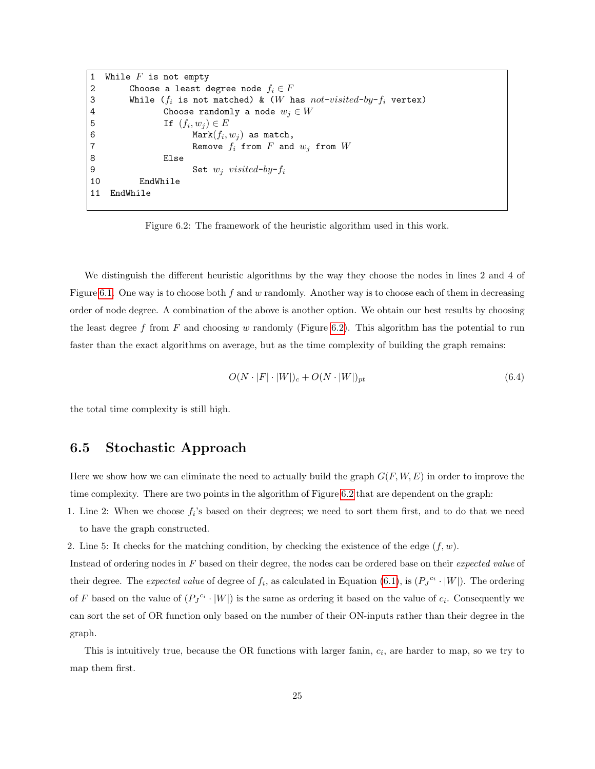```
1 While F is not empty
2 Choose a least degree node f_i \in F3 While (f_i is not matched) & (W has not-visited-by-f_i vertex)<br>4 Choose randomly a node w_i \in WChoose randomly a node w_j \in W5 If (f_i, w_j) \in E6 Mark(f_i, w_j) as match,
7 Remove f_i from F and w_j from W8 Else
9 Set w_j visited-by-f_i10 EndWhile
11 EndWhile
```
<span id="page-30-1"></span>Figure 6.2: The framework of the heuristic algorithm used in this work.

We distinguish the different heuristic algorithms by the way they choose the nodes in lines 2 and 4 of Figure [6.1.](#page-29-2) One way is to choose both f and w randomly. Another way is to choose each of them in decreasing order of node degree. A combination of the above is another option. We obtain our best results by choosing the least degree f from F and choosing w randomly (Figure [6.2\)](#page-30-1). This algorithm has the potential to run faster than the exact algorithms on average, but as the time complexity of building the graph remains:

$$
O(N \cdot |F| \cdot |W|)_{c} + O(N \cdot |W|)_{pt} \tag{6.4}
$$

the total time complexity is still high.

#### <span id="page-30-0"></span>6.5 Stochastic Approach

Here we show how we can eliminate the need to actually build the graph  $G(F, W, E)$  in order to improve the time complexity. There are two points in the algorithm of Figure [6.2](#page-30-1) that are dependent on the graph:

- 1. Line 2: When we choose  $f_i$ 's based on their degrees; we need to sort them first, and to do that we need to have the graph constructed.
- 2. Line 5: It checks for the matching condition, by checking the existence of the edge  $(f, w)$ .

Instead of ordering nodes in F based on their degree, the nodes can be ordered base on their *expected value* of their degree. The *expected value* of degree of  $f_i$ , as calculated in Equation [\(6.1\)](#page-28-1), is  $(P_J^{c_i} \cdot |W|)$ . The ordering of F based on the value of  $(P_J^{c_i} \cdot |W|)$  is the same as ordering it based on the value of  $c_i$ . Consequently we can sort the set of OR function only based on the number of their ON-inputs rather than their degree in the graph.

This is intuitively true, because the OR functions with larger fanin,  $c_i$ , are harder to map, so we try to map them first.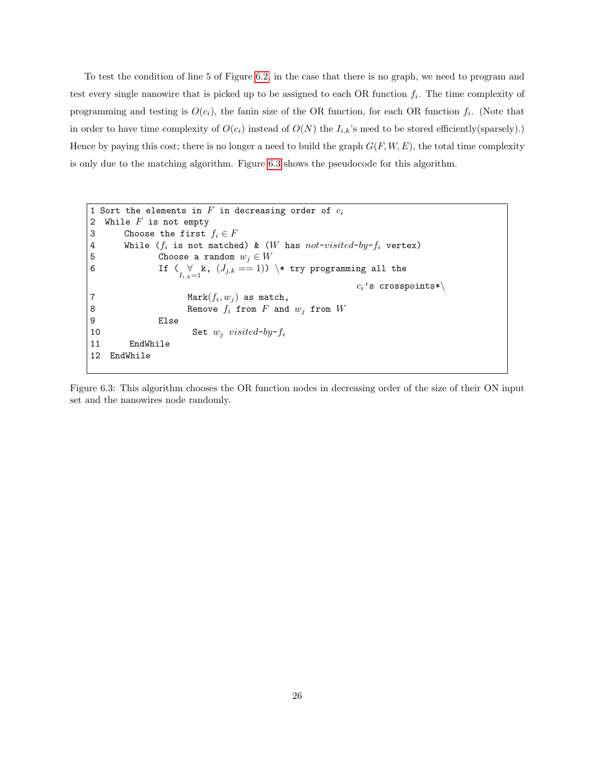To test the condition of line 5 of Figure [6.2,](#page-30-1) in the case that there is no graph, we need to program and test every single nanowire that is picked up to be assigned to each OR function  $f_i$ . The time complexity of programming and testing is  $O(c_i)$ , the fanin size of the OR function, for each OR function  $f_i$ . (Note that in order to have time complexity of  $O(c_i)$  instead of  $O(N)$  the  $I_{i,k}$ 's need to be stored efficiently(sparsely).) Hence by paying this cost; there is no longer a need to build the graph  $G(F, W, E)$ , the total time complexity is only due to the matching algorithm. Figure [6.3](#page-31-0) shows the pseudocode for this algorithm.

```
1 Sort the elements in F in decreasing order of c_i2 While F is not empty
3 Choose the first f_i \in F4 While (f_i is not matched) & (W has not-visited-by-f_i vertex)
5 Choose a random w_j \in W6 \qquad \qquad \text{If } \begin{array}{l} (\forall\; k,\; (J_{j,k} == 1))\end{array} \setminus\; \text{try programming all the}c_i's crosspoints*\setminus7 Mark(f_i, w_j) as match,
8 Remove f_i from F and w_j from W9 Else
10 Set w_i visited-by-f_i11 EndWhile
12 EndWhile
```
<span id="page-31-0"></span>Figure 6.3: This algorithm chooses the OR function nodes in decreasing order of the size of their ON input set and the nanowires node randomly.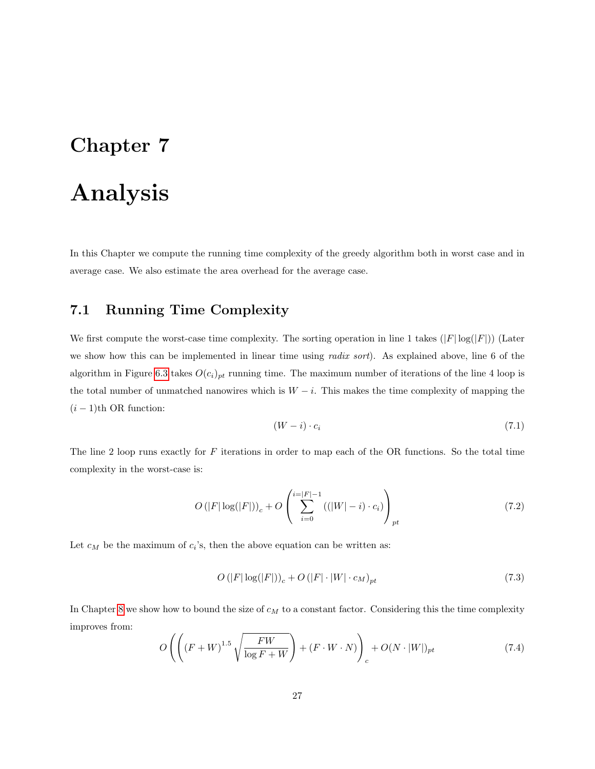## <span id="page-32-0"></span>Analysis

In this Chapter we compute the running time complexity of the greedy algorithm both in worst case and in average case. We also estimate the area overhead for the average case.

#### <span id="page-32-1"></span>7.1 Running Time Complexity

We first compute the worst-case time complexity. The sorting operation in line 1 takes  $(|F| \log(|F|))$  (Later we show how this can be implemented in linear time using *radix sort*). As explained above, line 6 of the algorithm in Figure [6.3](#page-31-0) takes  $O(c_i)_{pt}$  running time. The maximum number of iterations of the line 4 loop is the total number of unmatched nanowires which is  $W - i$ . This makes the time complexity of mapping the  $(i - 1)$ th OR function:

$$
(W - i) \cdot c_i \tag{7.1}
$$

The line 2 loop runs exactly for  $F$  iterations in order to map each of the OR functions. So the total time complexity in the worst-case is:

<span id="page-32-2"></span>
$$
O(|F|\log(|F|))_c + O\left(\sum_{i=0}^{i=|F|-1} ((|W|-i) \cdot c_i)\right)_{pt} \tag{7.2}
$$

Let  $c_M$  be the maximum of  $c_i$ 's, then the above equation can be written as:

$$
O\left(|F|\log(|F|)\right)_c + O\left(|F| \cdot |W| \cdot c_M\right)_{pt} \tag{7.3}
$$

In Chapter [8](#page-35-0) we show how to bound the size of  $c_M$  to a constant factor. Considering this the time complexity improves from:

$$
O\left(\left((F+W)^{1.5}\sqrt{\frac{FW}{\log F+W}}\right)+(F\cdot W\cdot N)\right)_c+O(N\cdot |W|)_{pt}\tag{7.4}
$$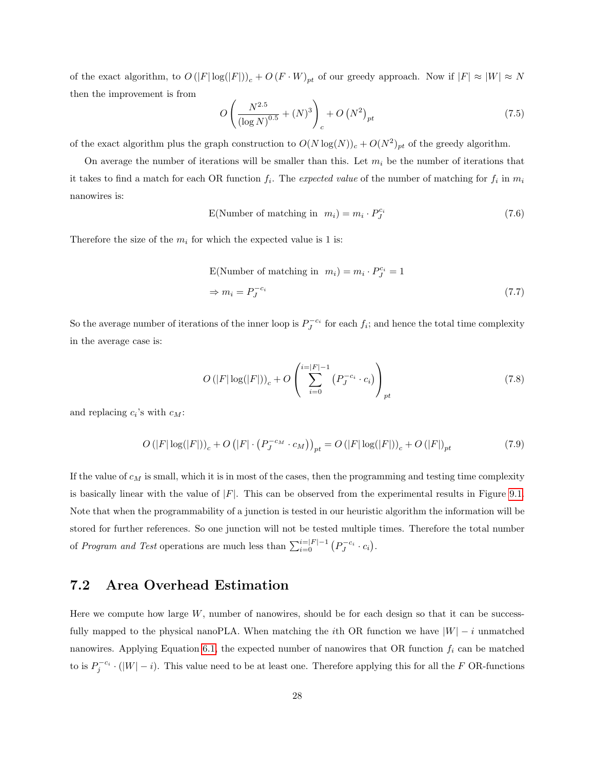of the exact algorithm, to  $O(|F| \log(|F|))_c + O(F \cdot W)_{pt}$  of our greedy approach. Now if  $|F| \approx |W| \approx N$ then the improvement is from

$$
O\left(\frac{N^{2.5}}{\left(\log N\right)^{0.5}} + (N)^3\right)_c + O\left(N^2\right)_{pt} \tag{7.5}
$$

of the exact algorithm plus the graph construction to  $O(N \log(N))_c + O(N^2)_{pt}$  of the greedy algorithm.

On average the number of iterations will be smaller than this. Let  $m_i$  be the number of iterations that it takes to find a match for each OR function  $f_i$ . The *expected value* of the number of matching for  $f_i$  in  $m_i$ nanowires is:

$$
E(Number of matching in mi) = mi \cdot P_J^{c_i}
$$
 (7.6)

Therefore the size of the  $m_i$  for which the expected value is 1 is:

<span id="page-33-1"></span>E(Number of matching in 
$$
m_i
$$
) =  $m_i \cdot P_J^{c_i} = 1$   
\n $\Rightarrow m_i = P_J^{-c_i}$  (7.7)

So the average number of iterations of the inner loop is  $P_J^{-c_i}$  for each  $f_i$ ; and hence the total time complexity in the average case is:

$$
O(|F|\log(|F|))_c + O\left(\sum_{i=0}^{i=|F|-1} (P_J^{-c_i} \cdot c_i)\right)_{pt} \tag{7.8}
$$

and replacing  $c_i$ 's with  $c_M$ :

$$
O(|F|\log(|F|))_c + O(|F| \cdot (P_J^{-c_M} \cdot c_M))_{pt} = O(|F|\log(|F|))_c + O(|F|)_{pt}
$$
\n(7.9)

If the value of  $c_M$  is small, which it is in most of the cases, then the programming and testing time complexity is basically linear with the value of  $|F|$ . This can be observed from the experimental results in Figure [9.1.](#page-41-0) Note that when the programmability of a junction is tested in our heuristic algorithm the information will be stored for further references. So one junction will not be tested multiple times. Therefore the total number of Program and Test operations are much less than  $\sum_{i=0}^{i=|F|-1} (P_J^{-c_i} \cdot c_i)$ .

#### <span id="page-33-0"></span>7.2 Area Overhead Estimation

Here we compute how large  $W$ , number of nanowires, should be for each design so that it can be successfully mapped to the physical nanoPLA. When matching the *i*th OR function we have  $|W| - i$  unmatched nanowires. Applying Equation [6.1,](#page-28-1) the expected number of nanowires that OR function  $f_i$  can be matched to is  $P_j^{c_i} \cdot (|W| - i)$ . This value need to be at least one. Therefore applying this for all the F OR-functions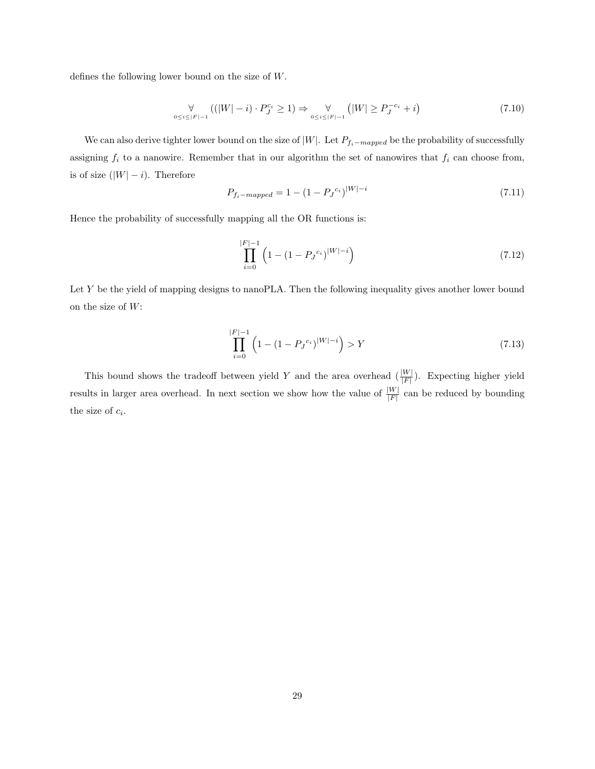defines the following lower bound on the size of W.

<span id="page-34-0"></span>
$$
\forall \left( (|W| - i) \cdot P_J^{c_i} \ge 1 \right) \Rightarrow \forall \left( |W| \ge P_J^{-c_i} + i \right) \tag{7.10}
$$

|W|−i

We can also derive tighter lower bound on the size of  $|W|$ . Let  $P_{f_i-mapped}$  be the probability of successfully assigning  $f_i$  to a nanowire. Remember that in our algorithm the set of nanowires that  $f_i$  can choose from, is of size  $(|W| - i)$ . Therefore

$$
P_{f_i - mapped} = 1 - (1 - P_J^{c_i})^{|W| - i}
$$
\n(7.11)

Hence the probability of successfully mapping all the OR functions is:

$$
\prod_{i=0}^{|F|-1} \left( 1 - (1 - P_J^{c_i})^{|W|-i} \right) \tag{7.12}
$$

Let Y be the yield of mapping designs to nanoPLA. Then the following inequality gives another lower bound on the size of  $W$ :

$$
\prod_{i=0}^{|F|-1} \left( 1 - (1 - P_J^{c_i})^{|W|-i} \right) > Y \tag{7.13}
$$

This bound shows the tradeoff between yield Y and the area overhead  $\left(\frac{|W|}{|F|}\right)$ . Expecting higher yield results in larger area overhead. In next section we show how the value of  $\frac{|W|}{|F|}$  can be reduced by bounding the size of  $c_i$ .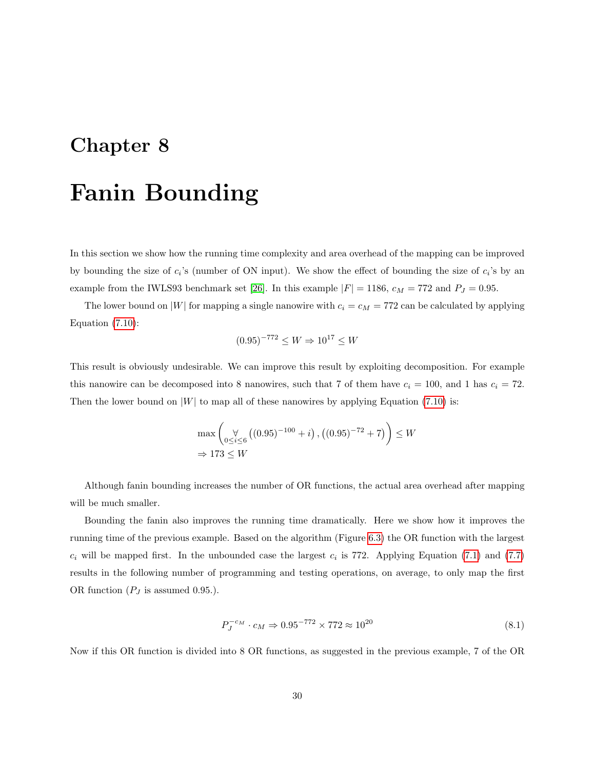# <span id="page-35-0"></span>Chapter 8 Fanin Bounding

In this section we show how the running time complexity and area overhead of the mapping can be improved by bounding the size of  $c_i$ 's (number of ON input). We show the effect of bounding the size of  $c_i$ 's by an example from the IWLS93 benchmark set [\[26\]](#page-55-2). In this example  $|F| = 1186$ ,  $c_M = 772$  and  $P_J = 0.95$ .

The lower bound on |W| for mapping a single nanowire with  $c_i = c_M = 772$  can be calculated by applying Equation [\(7.10\)](#page-34-0):

$$
(0.95)^{-772} \le W \Rightarrow 10^{17} \le W
$$

This result is obviously undesirable. We can improve this result by exploiting decomposition. For example this nanowire can be decomposed into 8 nanowires, such that 7 of them have  $c_i = 100$ , and 1 has  $c_i = 72$ . Then the lower bound on  $|W|$  to map all of these nanowires by applying Equation [\(7.10\)](#page-34-0) is:

$$
\max\left(\bigvee_{0 \le i \le 6} \left( (0.95)^{-100} + i \right), \left( (0.95)^{-72} + 7 \right) \right) \le W
$$
  
\n
$$
\Rightarrow 173 \le W
$$

Although fanin bounding increases the number of OR functions, the actual area overhead after mapping will be much smaller.

Bounding the fanin also improves the running time dramatically. Here we show how it improves the running time of the previous example. Based on the algorithm (Figure [6.3\)](#page-31-0) the OR function with the largest  $c_i$  will be mapped first. In the unbounded case the largest  $c_i$  is 772. Applying Equation [\(7.1\)](#page-32-2) and [\(7.7\)](#page-33-1) results in the following number of programming and testing operations, on average, to only map the first OR function  $(P_J \text{ is assumed } 0.95.)$ .

$$
P_J^{-c_M} \cdot c_M \Rightarrow 0.95^{-772} \times 772 \approx 10^{20} \tag{8.1}
$$

Now if this OR function is divided into 8 OR functions, as suggested in the previous example, 7 of the OR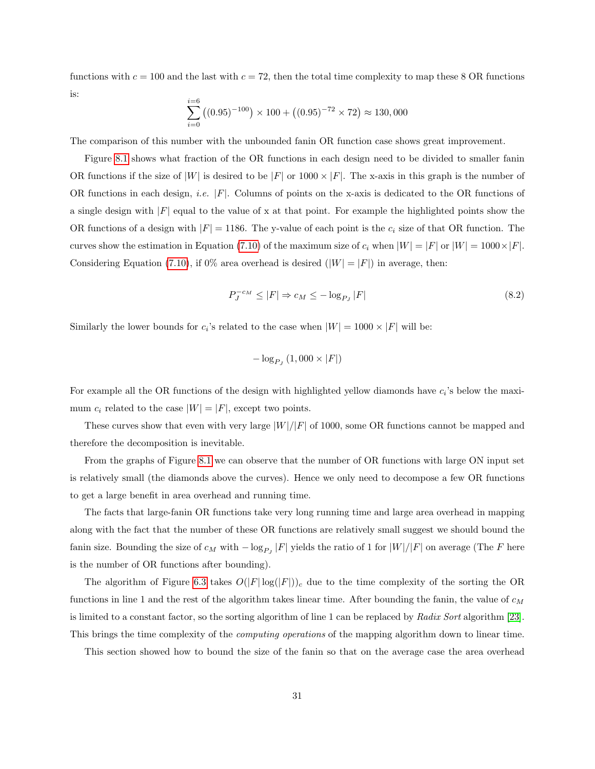functions with  $c = 100$  and the last with  $c = 72$ , then the total time complexity to map these 8 OR functions is:

$$
\sum_{i=0}^{i=6} ((0.95)^{-100}) \times 100 + ((0.95)^{-72} \times 72) \approx 130,000
$$

The comparison of this number with the unbounded fanin OR function case shows great improvement.

Figure [8.1](#page-37-0) shows what fraction of the OR functions in each design need to be divided to smaller fanin OR functions if the size of  $|W|$  is desired to be  $|F|$  or  $1000 \times |F|$ . The x-axis in this graph is the number of OR functions in each design, *i.e.*  $|F|$ . Columns of points on the x-axis is dedicated to the OR functions of a single design with  $|F|$  equal to the value of x at that point. For example the highlighted points show the OR functions of a design with  $|F| = 1186$ . The y-value of each point is the  $c_i$  size of that OR function. The curves show the estimation in Equation [\(7.10\)](#page-34-0) of the maximum size of  $c_i$  when  $|W| = |F|$  or  $|W| = 1000 \times |F|$ . Considering Equation [\(7.10\)](#page-34-0), if  $0\%$  area overhead is desired  $(|W| = |F|)$  in average, then:

$$
P_J^{-c_M} \le |F| \Rightarrow c_M \le -\log_{P_J} |F| \tag{8.2}
$$

Similarly the lower bounds for  $c_i$ 's related to the case when  $|W| = 1000 \times |F|$  will be:

<span id="page-36-0"></span>
$$
-\log_{P_J}(1,000\times|F|)
$$

For example all the OR functions of the design with highlighted yellow diamonds have  $c_i$ 's below the maximum  $c_i$  related to the case  $|W| = |F|$ , except two points.

These curves show that even with very large  $|W|/|F|$  of 1000, some OR functions cannot be mapped and therefore the decomposition is inevitable.

From the graphs of Figure [8.1](#page-37-0) we can observe that the number of OR functions with large ON input set is relatively small (the diamonds above the curves). Hence we only need to decompose a few OR functions to get a large benefit in area overhead and running time.

The facts that large-fanin OR functions take very long running time and large area overhead in mapping along with the fact that the number of these OR functions are relatively small suggest we should bound the fanin size. Bounding the size of  $c_M$  with  $-\log_{P_J}|F|$  yields the ratio of 1 for  $|W|/|F|$  on average (The F here is the number of OR functions after bounding).

The algorithm of Figure [6.3](#page-31-0) takes  $O(|F| \log(|F|))_c$  due to the time complexity of the sorting the OR functions in line 1 and the rest of the algorithm takes linear time. After bounding the fanin, the value of  $c_M$ is limited to a constant factor, so the sorting algorithm of line 1 can be replaced by Radix Sort algorithm [\[23\]](#page-54-12). This brings the time complexity of the *computing operations* of the mapping algorithm down to linear time.

This section showed how to bound the size of the fanin so that on the average case the area overhead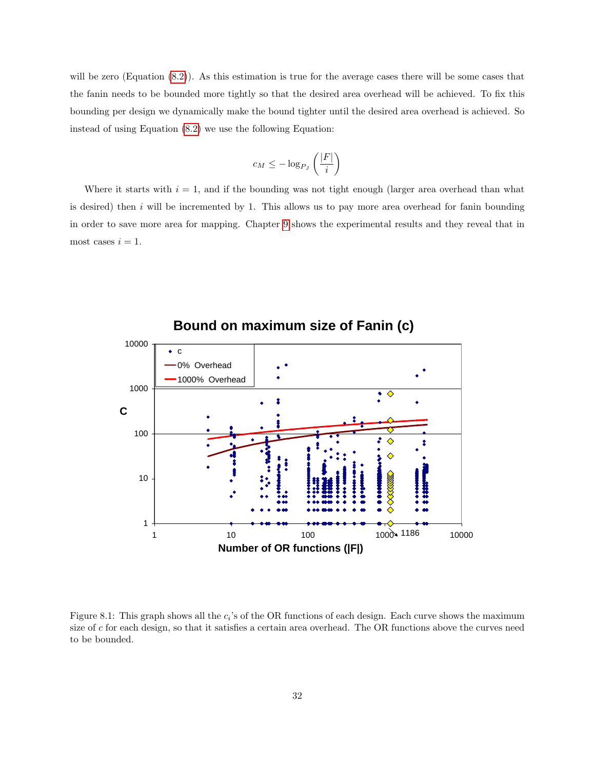will be zero (Equation [\(8.2\)](#page-36-0)). As this estimation is true for the average cases there will be some cases that the fanin needs to be bounded more tightly so that the desired area overhead will be achieved. To fix this bounding per design we dynamically make the bound tighter until the desired area overhead is achieved. So instead of using Equation [\(8.2\)](#page-36-0) we use the following Equation:

$$
c_M \le -\log_{P_J}\left(\frac{|F|}{i}\right)
$$

Where it starts with  $i = 1$ , and if the bounding was not tight enough (larger area overhead than what is desired) then  $i$  will be incremented by 1. This allows us to pay more area overhead for fanin bounding in order to save more area for mapping. Chapter [9](#page-40-0) shows the experimental results and they reveal that in most cases  $i = 1$ .



**Bound on maximum size of Fanin (c)**

<span id="page-37-0"></span>Figure 8.1: This graph shows all the  $c_i$ 's of the OR functions of each design. Each curve shows the maximum size of c for each design, so that it satisfies a certain area overhead. The OR functions above the curves need to be bounded.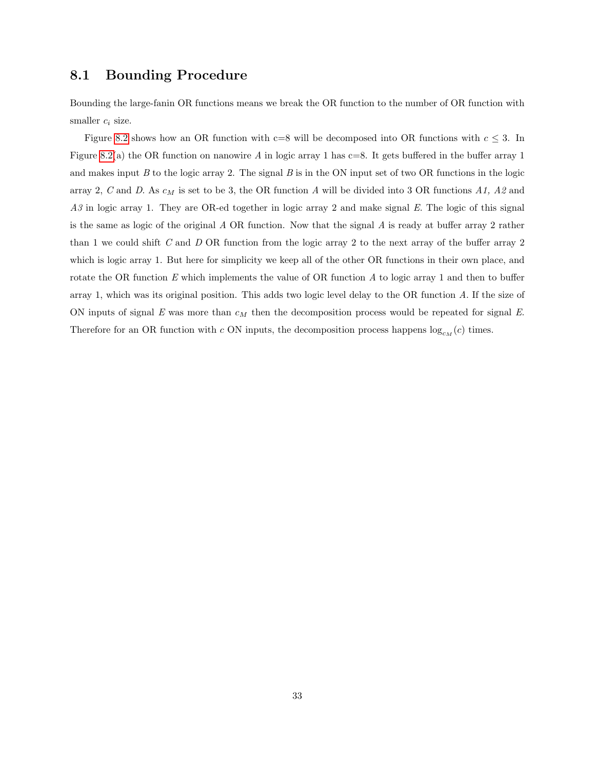#### <span id="page-38-0"></span>8.1 Bounding Procedure

Bounding the large-fanin OR functions means we break the OR function to the number of OR function with smaller  $c_i$  size.

Figure [8.2](#page-39-0) shows how an OR function with c=8 will be decomposed into OR functions with  $c \leq 3$ . In Figure [8.2\(](#page-39-0)a) the OR function on nanowire A in logic array 1 has  $c=8$ . It gets buffered in the buffer array 1 and makes input  $B$  to the logic array 2. The signal  $B$  is in the ON input set of two OR functions in the logic array 2, C and D. As  $c_M$  is set to be 3, the OR function A will be divided into 3 OR functions A1, A2 and A3 in logic array 1. They are OR-ed together in logic array 2 and make signal E. The logic of this signal is the same as logic of the original A OR function. Now that the signal A is ready at buffer array 2 rather than 1 we could shift C and D OR function from the logic array 2 to the next array of the buffer array 2 which is logic array 1. But here for simplicity we keep all of the other OR functions in their own place, and rotate the OR function  $E$  which implements the value of OR function  $A$  to logic array 1 and then to buffer array 1, which was its original position. This adds two logic level delay to the OR function A. If the size of ON inputs of signal E was more than  $c_M$  then the decomposition process would be repeated for signal E. Therefore for an OR function with c ON inputs, the decomposition process happens  $log_{c_M}(c)$  times.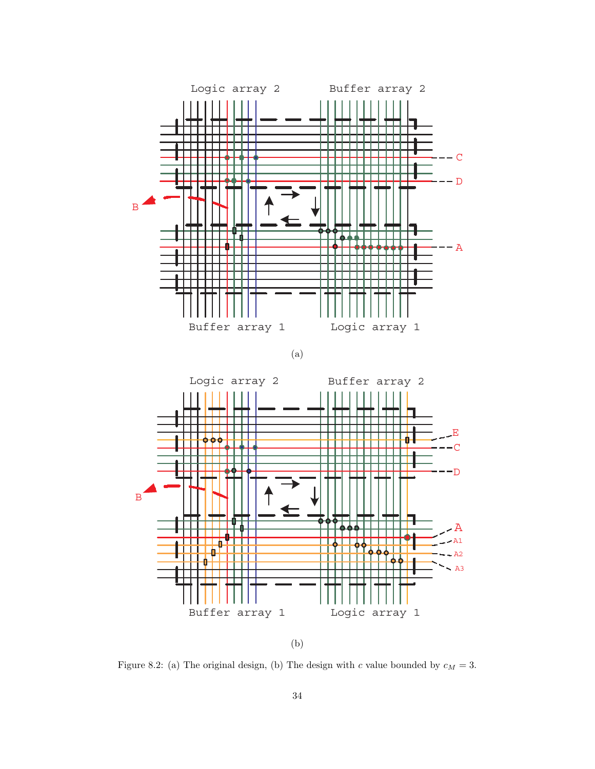

(a)



(b)

<span id="page-39-0"></span>Figure 8.2: (a) The original design, (b) The design with  $c$  value bounded by  $c_M = 3$ .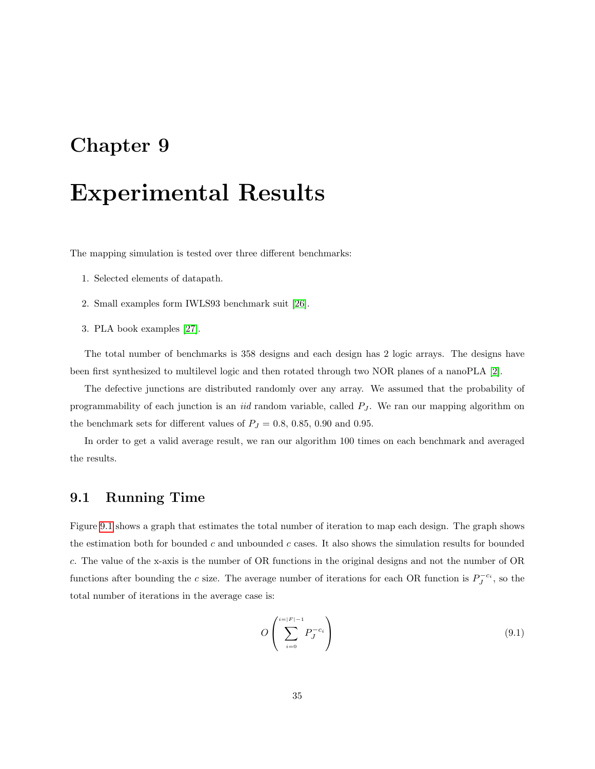## <span id="page-40-0"></span>Experimental Results

The mapping simulation is tested over three different benchmarks:

- 1. Selected elements of datapath.
- 2. Small examples form IWLS93 benchmark suit [\[26\]](#page-55-2).
- 3. PLA book examples [\[27\]](#page-55-3).

The total number of benchmarks is 358 designs and each design has 2 logic arrays. The designs have been first synthesized to multilevel logic and then rotated through two NOR planes of a nanoPLA [\[2\]](#page-53-2).

The defective junctions are distributed randomly over any array. We assumed that the probability of programmability of each junction is an *iid* random variable, called  $P_J$ . We ran our mapping algorithm on the benchmark sets for different values of  $P_J = 0.8, 0.85, 0.90$  and 0.95.

In order to get a valid average result, we ran our algorithm 100 times on each benchmark and averaged the results.

#### <span id="page-40-1"></span>9.1 Running Time

Figure [9.1](#page-41-0) shows a graph that estimates the total number of iteration to map each design. The graph shows the estimation both for bounded  $c$  and unbounded  $c$  cases. It also shows the simulation results for bounded c. The value of the x-axis is the number of OR functions in the original designs and not the number of OR functions after bounding the c size. The average number of iterations for each OR function is  $P_J^{-c_i}$ , so the total number of iterations in the average case is:

<span id="page-40-2"></span>
$$
O\left(\sum_{i=0}^{\lfloor i\rfloor |F|-1} P_J^{-c_i}\right) \tag{9.1}
$$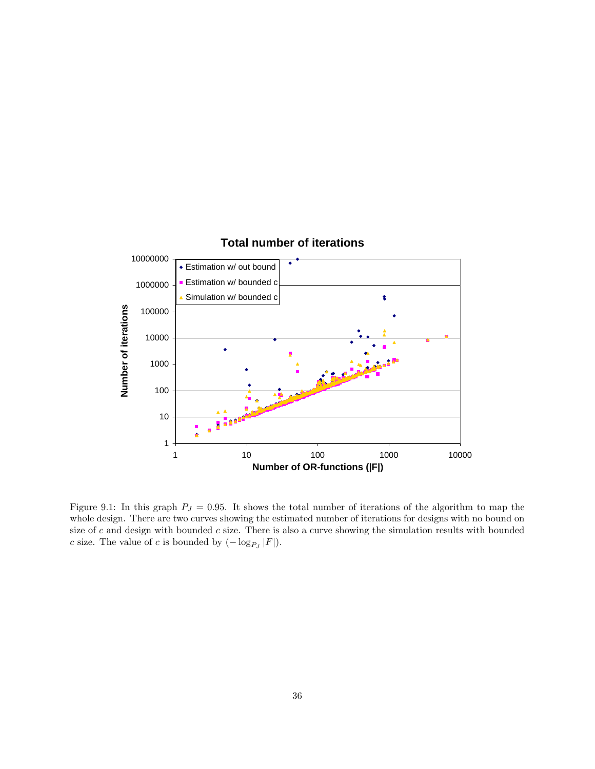

<span id="page-41-0"></span>Figure 9.1: In this graph  $P_J = 0.95$ . It shows the total number of iterations of the algorithm to map the whole design. There are two curves showing the estimated number of iterations for designs with no bound on size of  $c$  and design with bounded  $c$  size. There is also a curve showing the simulation results with bounded c size. The value of c is bounded by  $(-\log_{P_J}|F|)$ .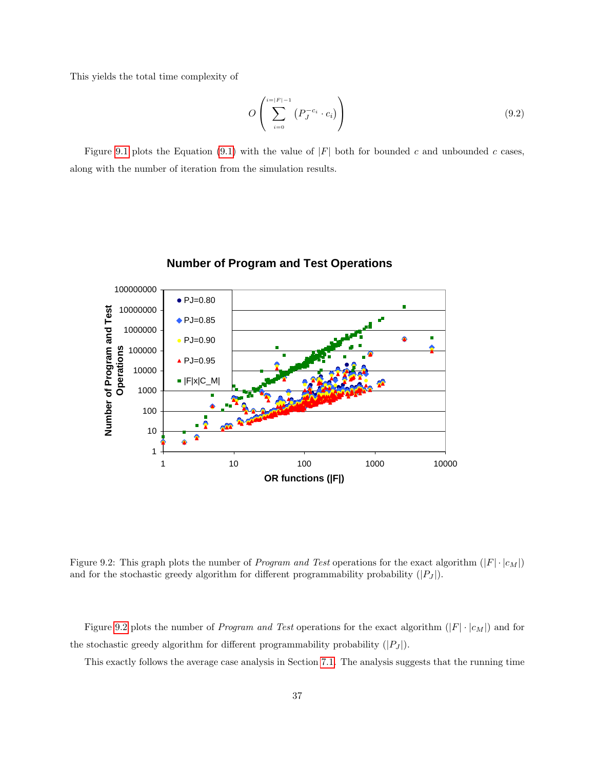This yields the total time complexity of

$$
O\left(\sum_{i=0}^{i=|F|-1} \left(P_J^{-c_i} \cdot c_i\right)\right) \tag{9.2}
$$

Figure [9.1](#page-41-0) plots the Equation [\(9.1\)](#page-40-2) with the value of  $|F|$  both for bounded c and unbounded c cases, along with the number of iteration from the simulation results.



#### **Number of Program and Test Operations**

<span id="page-42-0"></span>Figure 9.2: This graph plots the number of *Program and Test* operations for the exact algorithm  $(|F| \cdot |c_M|)$ and for the stochastic greedy algorithm for different programmability probability  $(|P_J|)$ .

Figure [9.2](#page-42-0) plots the number of *Program and Test* operations for the exact algorithm  $(|F| \cdot |c_M|)$  and for the stochastic greedy algorithm for different programmability probability  $(|P_J|)$ .

This exactly follows the average case analysis in Section [7.1.](#page-32-1) The analysis suggests that the running time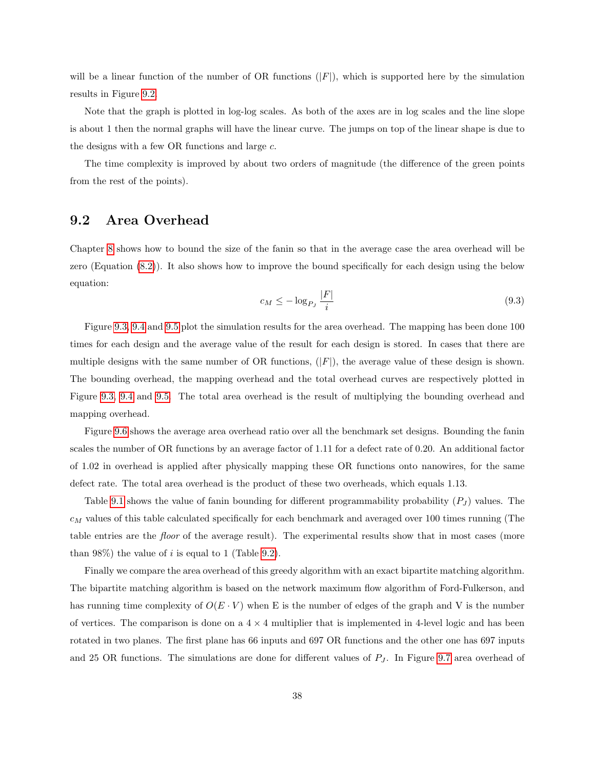will be a linear function of the number of OR functions  $(|F|)$ , which is supported here by the simulation results in Figure [9.2.](#page-42-0)

Note that the graph is plotted in log-log scales. As both of the axes are in log scales and the line slope is about 1 then the normal graphs will have the linear curve. The jumps on top of the linear shape is due to the designs with a few OR functions and large c.

The time complexity is improved by about two orders of magnitude (the difference of the green points from the rest of the points).

#### <span id="page-43-0"></span>9.2 Area Overhead

<span id="page-43-1"></span>Chapter [8](#page-35-0) shows how to bound the size of the fanin so that in the average case the area overhead will be zero (Equation [\(8.2\)](#page-36-0)). It also shows how to improve the bound specifically for each design using the below equation:

$$
c_M \le -\log_{P_J} \frac{|F|}{i} \tag{9.3}
$$

Figure [9.3,](#page-44-0) [9.4](#page-45-0) and [9.5](#page-46-0) plot the simulation results for the area overhead. The mapping has been done 100 times for each design and the average value of the result for each design is stored. In cases that there are multiple designs with the same number of OR functions,  $(|F|)$ , the average value of these design is shown. The bounding overhead, the mapping overhead and the total overhead curves are respectively plotted in Figure [9.3,](#page-44-0) [9.4](#page-45-0) and [9.5.](#page-46-0) The total area overhead is the result of multiplying the bounding overhead and mapping overhead.

Figure [9.6](#page-48-0) shows the average area overhead ratio over all the benchmark set designs. Bounding the fanin scales the number of OR functions by an average factor of 1.11 for a defect rate of 0.20. An additional factor of 1.02 in overhead is applied after physically mapping these OR functions onto nanowires, for the same defect rate. The total area overhead is the product of these two overheads, which equals 1.13.

Table [9.1](#page-47-0) shows the value of fanin bounding for different programmability probability  $(P_J)$  values. The  $c_M$  values of this table calculated specifically for each benchmark and averaged over 100 times running (The table entries are the floor of the average result). The experimental results show that in most cases (more than 98%) the value of i is equal to 1 (Table [9.2\)](#page-47-1).

Finally we compare the area overhead of this greedy algorithm with an exact bipartite matching algorithm. The bipartite matching algorithm is based on the network maximum flow algorithm of Ford-Fulkerson, and has running time complexity of  $O(E \cdot V)$  when E is the number of edges of the graph and V is the number of vertices. The comparison is done on a  $4 \times 4$  multiplier that is implemented in 4-level logic and has been rotated in two planes. The first plane has 66 inputs and 697 OR functions and the other one has 697 inputs and 25 OR functions. The simulations are done for different values of  $P_J$ . In Figure [9.7](#page-49-0) area overhead of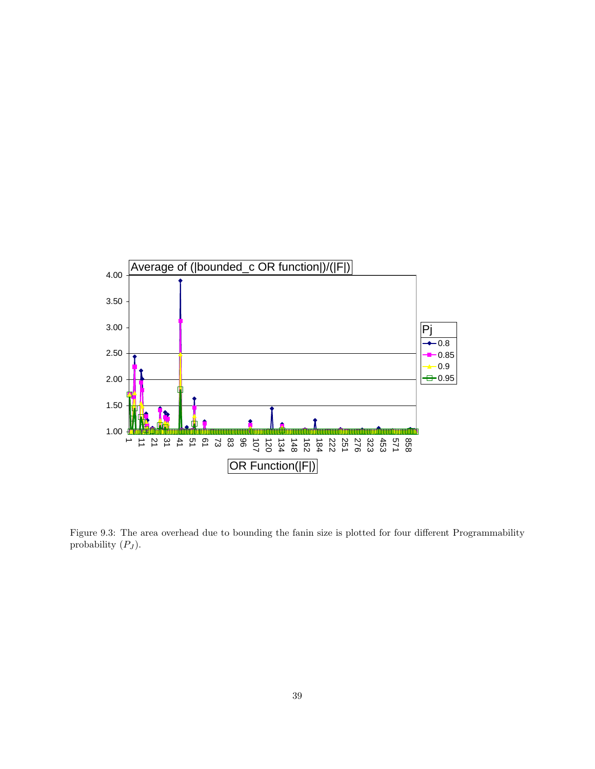

<span id="page-44-0"></span>Figure 9.3: The area overhead due to bounding the fanin size is plotted for four different Programmability probability  $(P_J)$ .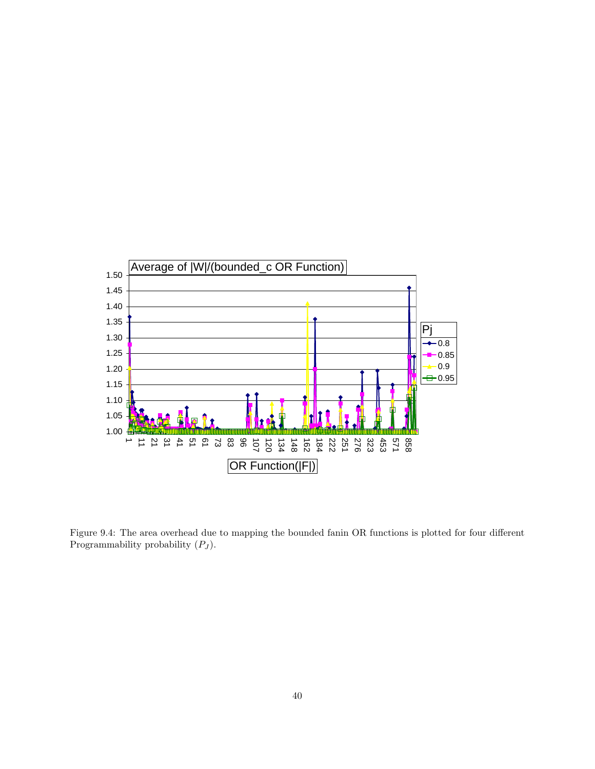

<span id="page-45-0"></span>Figure 9.4: The area overhead due to mapping the bounded fanin OR functions is plotted for four different Programmability probability  $(P_J)$ .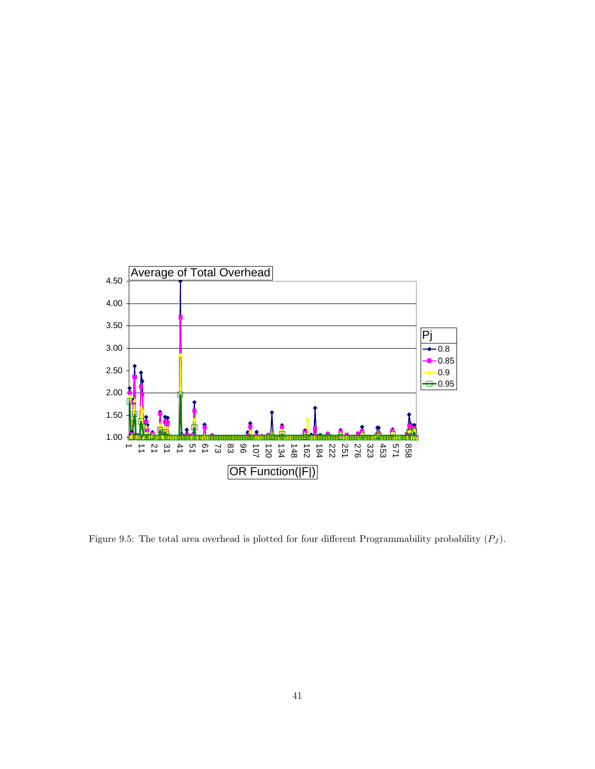

<span id="page-46-0"></span>Figure 9.5: The total area overhead is plotted for four different Programmability probability  $(P_J)$ .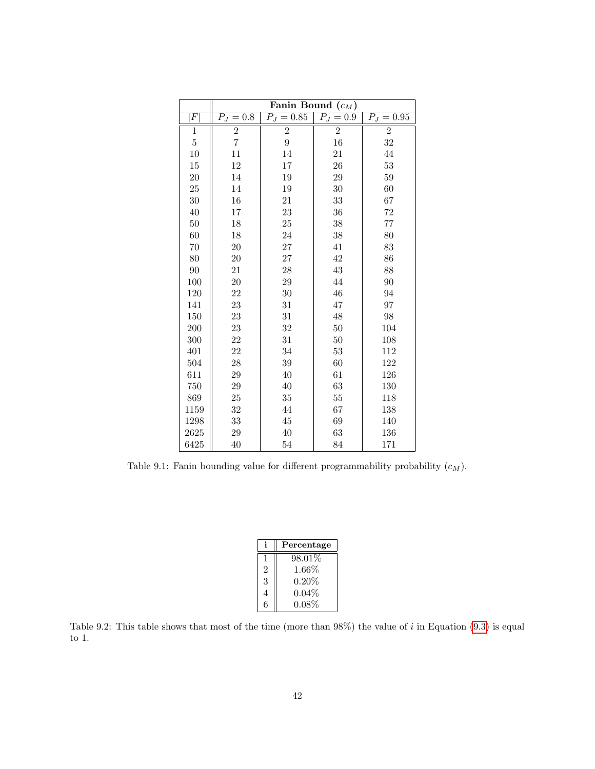|                | Fanin Bound $(c_M)$ |                |                |                         |
|----------------|---------------------|----------------|----------------|-------------------------|
| F              | $P_J = 0.8$         | $P_{J} = 0.85$ | $P_J = 0.9$    | $\overline{P_J} = 0.95$ |
| $\mathbf 1$    | $\sqrt{2}$          | $\overline{2}$ | $\overline{2}$ | $\overline{2}$          |
| $\overline{5}$ | $\overline{7}$      | $\overline{9}$ | 16             | 32                      |
| 10             | 11                  | 14             | 21             | 44                      |
| 15             | 12                  | 17             | 26             | 53                      |
| 20             | 14                  | 19             | 29             | 59                      |
| 25             | 14                  | 19             | 30             | 60                      |
| 30             | 16                  | 21             | 33             | 67                      |
| 40             | 17                  | 23             | 36             | 72                      |
| 50             | 18                  | 25             | 38             | 77                      |
| 60             | 18                  | 24             | 38             | 80                      |
| 70             | 20                  | $27\,$         | 41             | 83                      |
| 80             | 20                  | 27             | 42             | 86                      |
| 90             | 21                  | 28             | 43             | 88                      |
| 100            | 20                  | 29             | 44             | 90                      |
| 120            | 22                  | 30             | 46             | 94                      |
| 141            | 23                  | 31             | 47             | 97                      |
| 150            | 23                  | 31             | 48             | 98                      |
| 200            | 23                  | $32\,$         | $50\,$         | 104                     |
| 300            | 22                  | 31             | 50             | 108                     |
| 401            | 22                  | 34             | 53             | 112                     |
| 504            | 28                  | 39             | 60             | 122                     |
| 611            | 29                  | 40             | 61             | 126                     |
| 750            | 29                  | 40             | 63             | 130                     |
| 869            | 25                  | 35             | 55             | 118                     |
| 1159           | 32                  | 44             | 67             | 138                     |
| 1298           | 33                  | 45             | 69             | 140                     |
| 2625           | 29                  | 40             | 63             | 136                     |
| 6425           | 40                  | 54             | 84             | 171                     |

<span id="page-47-0"></span>Table 9.1: Fanin bounding value for different programmability probability  $(c_M)$ .

|                | Percentage |
|----------------|------------|
| -1             | 98.01%     |
| $\mathfrak{D}$ | $1.66\%$   |
| 3              | 0.20%      |
| 4              | $0.04\%$   |
| ճ              | $0.08\%$   |

<span id="page-47-1"></span>Table 9.2: This table shows that most of the time (more than  $98\%$ ) the value of i in Equation [\(9.3\)](#page-43-1) is equal to 1.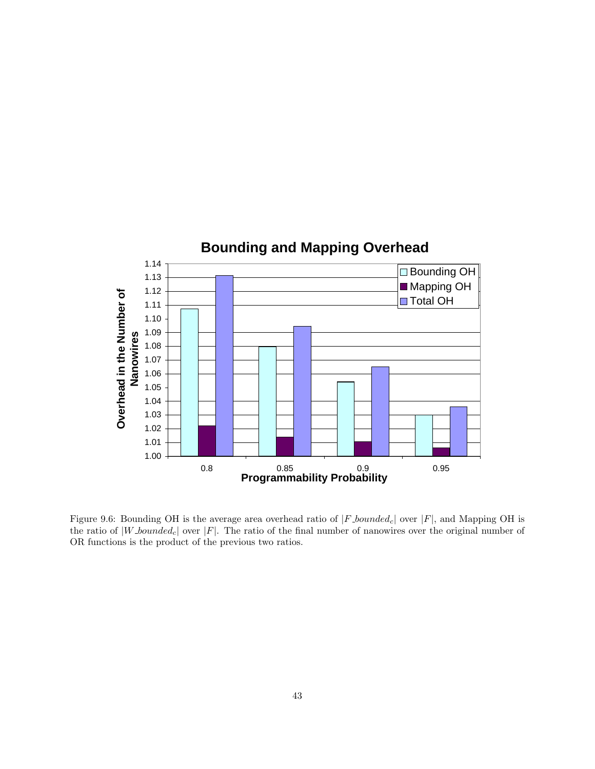

<span id="page-48-0"></span>Figure 9.6: Bounding OH is the average area overhead ratio of  $|F_{\text{.}}|$  bounded<sub>c</sub> | over  $|F|$ , and Mapping OH is the ratio of  $|W\text{-}bounded_c|$  over  $|F|$ . The ratio of the final number of nanowires over the original number of OR functions is the product of the previous two ratios.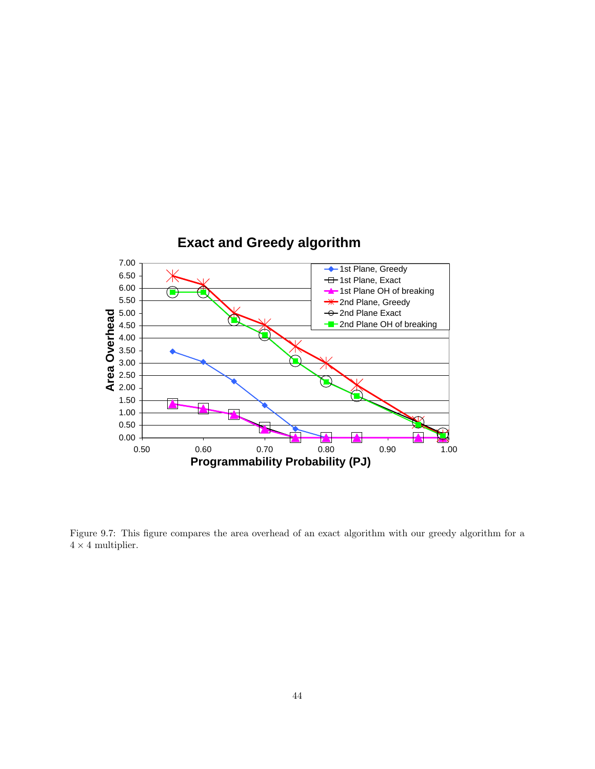

<span id="page-49-0"></span>Figure 9.7: This figure compares the area overhead of an exact algorithm with our greedy algorithm for a  $4\times 4$  multiplier.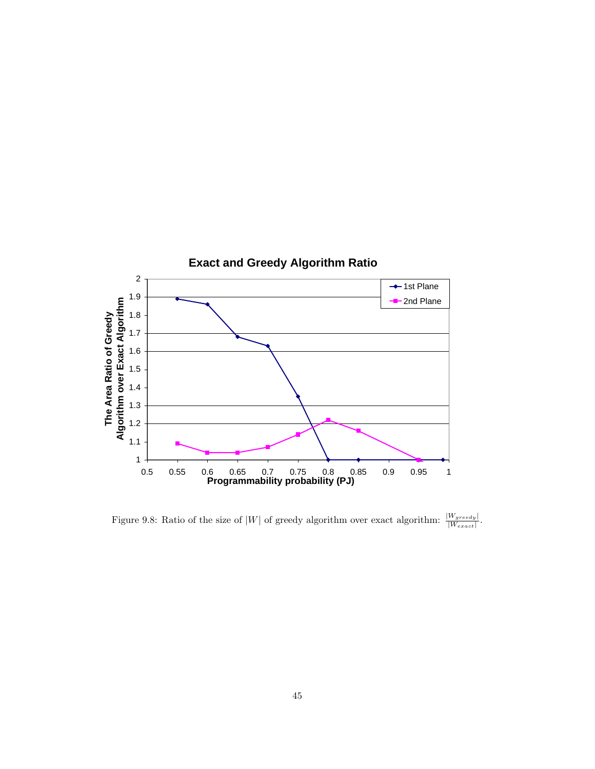

<span id="page-50-0"></span>Figure 9.8: Ratio of the size of |W| of greedy algorithm over exact algorithm:  $\frac{|W_{greedy}|}{|W_{exact}|}$ .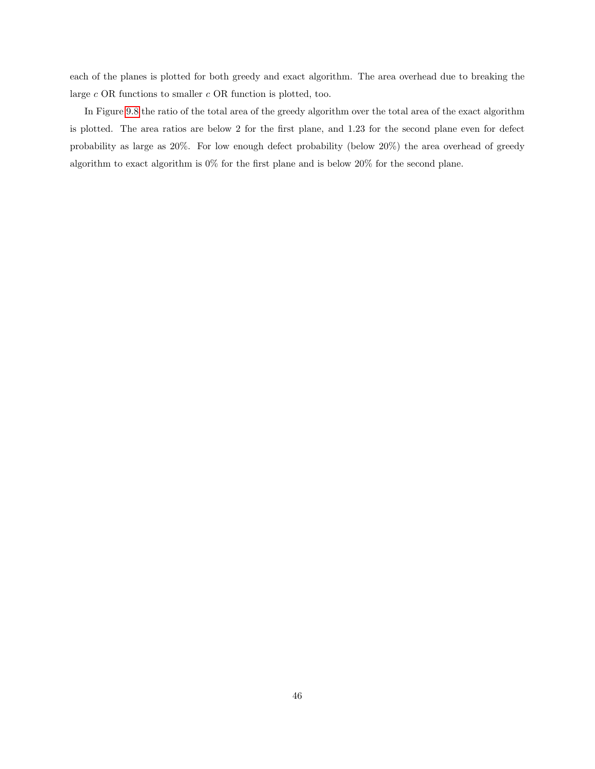each of the planes is plotted for both greedy and exact algorithm. The area overhead due to breaking the large c OR functions to smaller c OR function is plotted, too.

In Figure [9.8](#page-50-0) the ratio of the total area of the greedy algorithm over the total area of the exact algorithm is plotted. The area ratios are below 2 for the first plane, and 1.23 for the second plane even for defect probability as large as 20%. For low enough defect probability (below 20%) the area overhead of greedy algorithm to exact algorithm is  $0\%$  for the first plane and is below  $20\%$  for the second plane.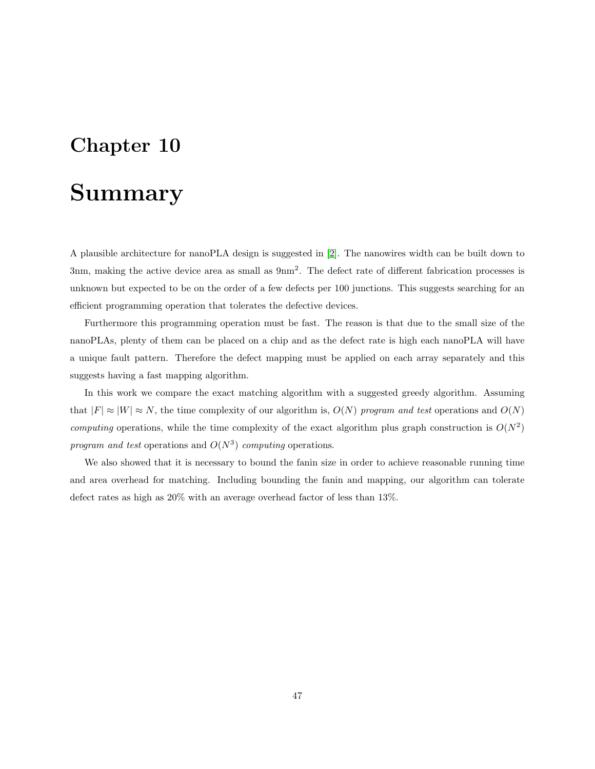### <span id="page-52-0"></span>Summary

A plausible architecture for nanoPLA design is suggested in [\[2\]](#page-53-2). The nanowires width can be built down to 3nm, making the active device area as small as  $9 \text{nm}^2$ . The defect rate of different fabrication processes is unknown but expected to be on the order of a few defects per 100 junctions. This suggests searching for an efficient programming operation that tolerates the defective devices.

Furthermore this programming operation must be fast. The reason is that due to the small size of the nanoPLAs, plenty of them can be placed on a chip and as the defect rate is high each nanoPLA will have a unique fault pattern. Therefore the defect mapping must be applied on each array separately and this suggests having a fast mapping algorithm.

In this work we compare the exact matching algorithm with a suggested greedy algorithm. Assuming that  $|F| \approx |W| \approx N$ , the time complexity of our algorithm is,  $O(N)$  program and test operations and  $O(N)$ computing operations, while the time complexity of the exact algorithm plus graph construction is  $O(N^2)$ program and test operations and  $O(N^3)$  computing operations.

We also showed that it is necessary to bound the fanin size in order to achieve reasonable running time and area overhead for matching. Including bounding the fanin and mapping, our algorithm can tolerate defect rates as high as 20% with an average overhead factor of less than 13%.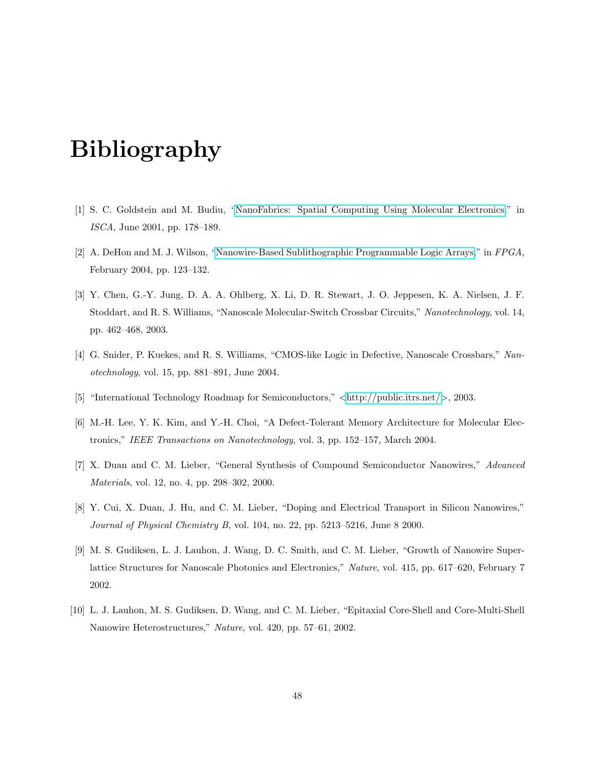# Bibliography

- <span id="page-53-1"></span><span id="page-53-0"></span>[1] S. C. Goldstein and M. Budiu, ["NanoFabrics: Spatial Computing Using Molecular Electronics,](http://www.cs.cmu.edu/~seth/papers/isca01.pdf)" in ISCA, June 2001, pp. 178–189.
- <span id="page-53-2"></span>[2] A. DeHon and M. J. Wilson, ["Nanowire-Based Sublithographic Programmable Logic Arrays,](http://www.cs.caltech.edu/research/ic/abstracts/nanopla_fpga2004.html)" in FPGA, February 2004, pp. 123–132.
- <span id="page-53-3"></span>[3] Y. Chen, G.-Y. Jung, D. A. A. Ohlberg, X. Li, D. R. Stewart, J. O. Jeppesen, K. A. Nielsen, J. F. Stoddart, and R. S. Williams, "Nanoscale Molecular-Switch Crossbar Circuits," Nanotechnology, vol. 14, pp. 462–468, 2003.
- <span id="page-53-4"></span>[4] G. Snider, P. Kuekes, and R. S. Williams, "CMOS-like Logic in Defective, Nanoscale Crossbars," Nanotechnology, vol. 15, pp. 881–891, June 2004.
- <span id="page-53-5"></span>[5] "International Technology Roadmap for Semiconductors," <<http://public.itrs.net/>>, 2003.
- <span id="page-53-6"></span>[6] M.-H. Lee, Y. K. Kim, and Y.-H. Choi, "A Defect-Tolerant Memory Architecture for Molecular Electronics," IEEE Transactions on Nanotechnology, vol. 3, pp. 152–157, March 2004.
- <span id="page-53-7"></span>[7] X. Duan and C. M. Lieber, "General Synthesis of Compound Semiconductor Nanowires," Advanced Materials, vol. 12, no. 4, pp. 298–302, 2000.
- <span id="page-53-8"></span>[8] Y. Cui, X. Duan, J. Hu, and C. M. Lieber, "Doping and Electrical Transport in Silicon Nanowires," Journal of Physical Chemistry B, vol. 104, no. 22, pp. 5213–5216, June 8 2000.
- <span id="page-53-9"></span>[9] M. S. Gudiksen, L. J. Lauhon, J. Wang, D. C. Smith, and C. M. Lieber, "Growth of Nanowire Superlattice Structures for Nanoscale Photonics and Electronics," Nature, vol. 415, pp. 617–620, February 7 2002.
- <span id="page-53-10"></span>[10] L. J. Lauhon, M. S. Gudiksen, D. Wang, and C. M. Lieber, "Epitaxial Core-Shell and Core-Multi-Shell Nanowire Heterostructures," Nature, vol. 420, pp. 57–61, 2002.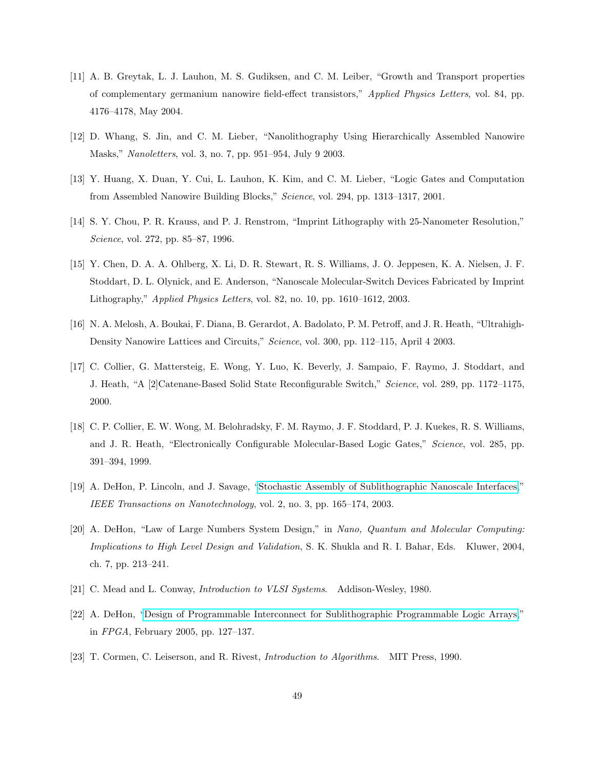- <span id="page-54-0"></span>[11] A. B. Greytak, L. J. Lauhon, M. S. Gudiksen, and C. M. Leiber, "Growth and Transport properties of complementary germanium nanowire field-effect transistors," Applied Physics Letters, vol. 84, pp. 4176–4178, May 2004.
- <span id="page-54-1"></span>[12] D. Whang, S. Jin, and C. M. Lieber, "Nanolithography Using Hierarchically Assembled Nanowire Masks," Nanoletters, vol. 3, no. 7, pp. 951–954, July 9 2003.
- <span id="page-54-2"></span>[13] Y. Huang, X. Duan, Y. Cui, L. Lauhon, K. Kim, and C. M. Lieber, "Logic Gates and Computation from Assembled Nanowire Building Blocks," Science, vol. 294, pp. 1313–1317, 2001.
- <span id="page-54-3"></span>[14] S. Y. Chou, P. R. Krauss, and P. J. Renstrom, "Imprint Lithography with 25-Nanometer Resolution," Science, vol. 272, pp. 85–87, 1996.
- <span id="page-54-4"></span>[15] Y. Chen, D. A. A. Ohlberg, X. Li, D. R. Stewart, R. S. Williams, J. O. Jeppesen, K. A. Nielsen, J. F. Stoddart, D. L. Olynick, and E. Anderson, "Nanoscale Molecular-Switch Devices Fabricated by Imprint Lithography," Applied Physics Letters, vol. 82, no. 10, pp. 1610–1612, 2003.
- <span id="page-54-5"></span>[16] N. A. Melosh, A. Boukai, F. Diana, B. Gerardot, A. Badolato, P. M. Petroff, and J. R. Heath, "Ultrahigh-Density Nanowire Lattices and Circuits," Science, vol. 300, pp. 112–115, April 4 2003.
- <span id="page-54-6"></span>[17] C. Collier, G. Mattersteig, E. Wong, Y. Luo, K. Beverly, J. Sampaio, F. Raymo, J. Stoddart, and J. Heath, "A [2]Catenane-Based Solid State Reconfigurable Switch," Science, vol. 289, pp. 1172–1175, 2000.
- <span id="page-54-7"></span>[18] C. P. Collier, E. W. Wong, M. Belohradsky, F. M. Raymo, J. F. Stoddard, P. J. Kuekes, R. S. Williams, and J. R. Heath, "Electronically Configurable Molecular-Based Logic Gates," Science, vol. 285, pp. 391–394, 1999.
- <span id="page-54-8"></span>[19] A. DeHon, P. Lincoln, and J. Savage, ["Stochastic Assembly of Sublithographic Nanoscale Interfaces,](http://www.cs.caltech.edu/research/ic/abstracts/nanodecode_tnano2003.html)" IEEE Transactions on Nanotechnology, vol. 2, no. 3, pp. 165–174, 2003.
- <span id="page-54-9"></span>[20] A. DeHon, "Law of Large Numbers System Design," in Nano, Quantum and Molecular Computing: Implications to High Level Design and Validation, S. K. Shukla and R. I. Bahar, Eds. Kluwer, 2004, ch. 7, pp. 213–241.
- <span id="page-54-11"></span><span id="page-54-10"></span>[21] C. Mead and L. Conway, Introduction to VLSI Systems. Addison-Wesley, 1980.
- [22] A. DeHon, ["Design of Programmable Interconnect for Sublithographic Programmable Logic Arrays,](http://www.cs.caltech.edu/research/ic/abstracts/inanopla_fpga2005.html)" in FPGA, February 2005, pp. 127–137.
- <span id="page-54-12"></span>[23] T. Cormen, C. Leiserson, and R. Rivest, Introduction to Algorithms. MIT Press, 1990.